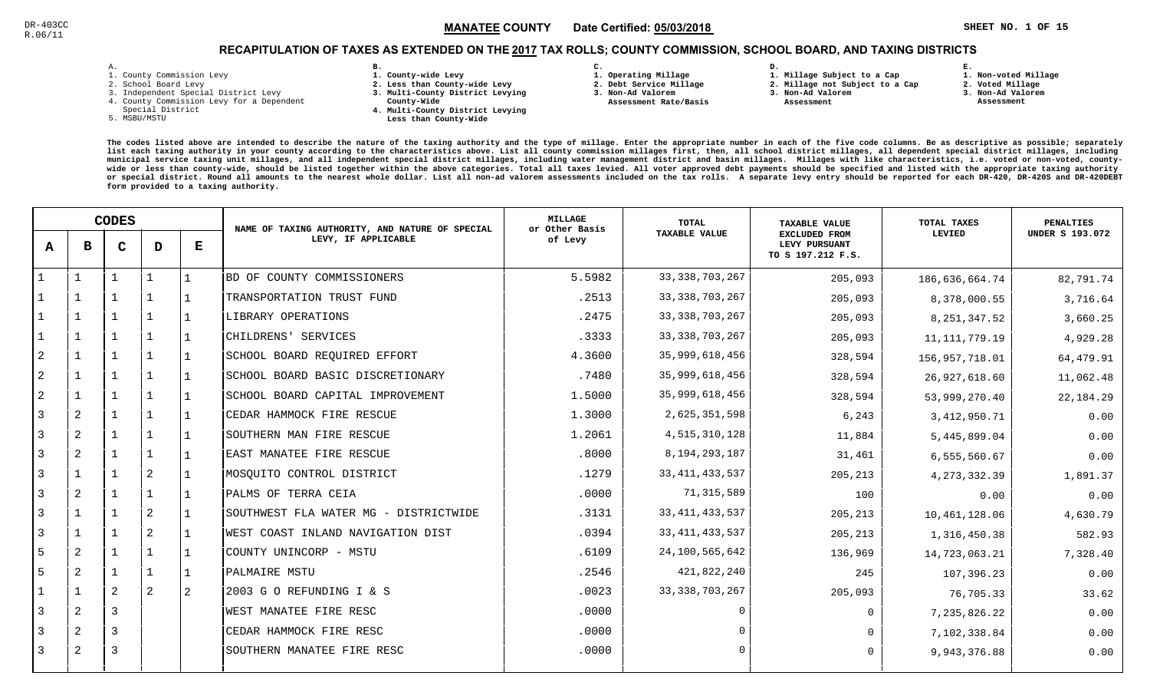**1. Non-voted Millage**

# RECAPITULATION OF TAXES AS EXTENDED ON THE <u>2017</u> TAX ROLLS; COUNTY COMMISSION, SCHOOL BOARD, AND TAXING DISTRICTS

| – | ٠ |  |  |
|---|---|--|--|

- 1. County Commission Levy
- 2. School Board Levy
- 3. Independent Special District Levy
- 4. County Commission Levy for a Dependent
- Special District
- 5. MSBU/MSTU
- **B. 1. County-wide Levy**
- **2. Less than County-wide Levy**
- **3. Multi-County District Levying**
- **County-Wide** 
	- **4. Multi-County District Levying Less than County-Wide**
- **C. 3. Non-Ad Valorem**
- **1. Operating Millage 2. Debt Service Millage**

 **Assessment Rate/Basis**

**1. Millage Subject to a Cap**

**D.** 

- **2. Millage not Subject to a Cap3. Non-Ad Valorem**
	- **Assessment**
- 
- **2. Voted Millage3. Non-Ad Valorem**

**E.**

 **Assessment**

|                | <b>CODES</b> |              |                |           | NAME OF TAXING AUTHORITY, AND NATURE OF SPECIAL | <b>MILLAGE</b><br>or Other Basis | <b>TOTAL</b>         | <b>TAXABLE VALUE</b>                                       | TOTAL TAXES     | <b>PENALTIES</b>       |
|----------------|--------------|--------------|----------------|-----------|-------------------------------------------------|----------------------------------|----------------------|------------------------------------------------------------|-----------------|------------------------|
| A              | в            | $\mathbf C$  | D              | ${\bf E}$ | LEVY, IF APPLICABLE                             | of Levy                          | <b>TAXABLE VALUE</b> | <b>EXCLUDED FROM</b><br>LEVY PURSUANT<br>TO S 197.212 F.S. | LEVIED          | <b>UNDER S 193.072</b> |
|                |              | $\mathbf 1$  |                | 1         | BD OF COUNTY COMMISSIONERS                      | 5.5982                           | 33, 338, 703, 267    | 205,093                                                    | 186,636,664.74  | 82,791.74              |
|                | -1           |              |                | $\perp$   | TRANSPORTATION TRUST FUND                       | .2513                            | 33, 338, 703, 267    | 205,093                                                    | 8,378,000.55    | 3,716.64               |
|                | 1            | $\mathbf{1}$ | $\mathbf{1}$   | l 1       | LIBRARY OPERATIONS                              | .2475                            | 33, 338, 703, 267    | 205,093                                                    | 8, 251, 347.52  | 3,660.25               |
|                | $\mathbf{1}$ | 1            | $\mathbf{1}$   | 1         | CHILDRENS' SERVICES                             | .3333                            | 33, 338, 703, 267    | 205,093                                                    | 11, 111, 779.19 | 4,929.28               |
| $\overline{c}$ | $\mathbf{1}$ | $\mathbf{1}$ | $\mathbf{1}$   | $\perp$   | SCHOOL BOARD REQUIRED EFFORT                    | 4.3600                           | 35,999,618,456       | 328,594                                                    | 156,957,718.01  | 64,479.91              |
| 2              | $\mathbf{1}$ |              | $\mathbf{1}$   | l 1       | SCHOOL BOARD BASIC DISCRETIONARY                | .7480                            | 35,999,618,456       | 328,594                                                    | 26,927,618.60   | 11,062.48              |
| 2              | $\mathbf{1}$ |              | $\mathbf{1}$   | 1         | SCHOOL BOARD CAPITAL IMPROVEMENT                | 1.5000                           | 35,999,618,456       | 328,594                                                    | 53,999,270.40   | 22,184.29              |
| 3              | 2            |              | $\mathbf 1$    |           | CEDAR HAMMOCK FIRE RESCUE                       | 1.3000                           | 2,625,351,598        | 6,243                                                      | 3, 412, 950. 71 | 0.00                   |
| 3              | 2            |              | 1              | $\perp$   | SOUTHERN MAN FIRE RESCUE                        | 1.2061                           | 4,515,310,128        | 11,884                                                     | 5,445,899.04    | 0.00                   |
| 3              | 2            |              | $\mathbf{1}$   | l 1       | EAST MANATEE FIRE RESCUE                        | .8000                            | 8, 194, 293, 187     | 31,461                                                     | 6,555,560.67    | 0.00                   |
| 3              | $\mathbf{1}$ | $\mathbf{1}$ | 2              | 1         | MOSQUITO CONTROL DISTRICT                       | .1279                            | 33, 411, 433, 537    | 205,213                                                    | 4, 273, 332.39  | 1,891.37               |
| 3              | 2            |              | $\mathbf{1}$   | 1         | PALMS OF TERRA CEIA                             | .0000                            | 71, 315, 589         | 100                                                        | 0.00            | 0.00                   |
| 3              | $\mathbf{1}$ |              | 2              | 1         | SOUTHWEST FLA WATER MG - DISTRICTWIDE           | .3131                            | 33, 411, 433, 537    | 205,213                                                    | 10,461,128.06   | 4,630.79               |
| 3              | $\mathbf{1}$ |              | $\overline{2}$ | 1         | WEST COAST INLAND NAVIGATION DIST               | .0394                            | 33, 411, 433, 537    | 205,213                                                    | 1,316,450.38    | 582.93                 |
| 5              | 2            |              | $\mathbf{1}$   | 1         | COUNTY UNINCORP - MSTU                          | .6109                            | 24,100,565,642       | 136,969                                                    | 14,723,063.21   | 7,328.40               |
| 5              | 2            |              | 1              | 1         | PALMAIRE MSTU                                   | .2546                            | 421,822,240          | 245                                                        | 107,396.23      | 0.00                   |
|                | $\mathbf{1}$ | 2            | 2              | 2         | 2003 G O REFUNDING I & S                        | .0023                            | 33, 338, 703, 267    | 205,093                                                    | 76,705.33       | 33.62                  |
| 3              | 2            | 3            |                |           | WEST MANATEE FIRE RESC                          | .0000                            |                      | $\mathbf 0$                                                | 7,235,826.22    | 0.00                   |
| 3              | 2            | 3            |                |           | CEDAR HAMMOCK FIRE RESC                         | .0000                            |                      | $\Omega$                                                   | 7,102,338.84    | 0.00                   |
| 3              | 2            | 3            |                |           | SOUTHERN MANATEE FIRE RESC                      | .0000                            | ∩                    | $\Omega$                                                   | 9,943,376.88    | 0.00                   |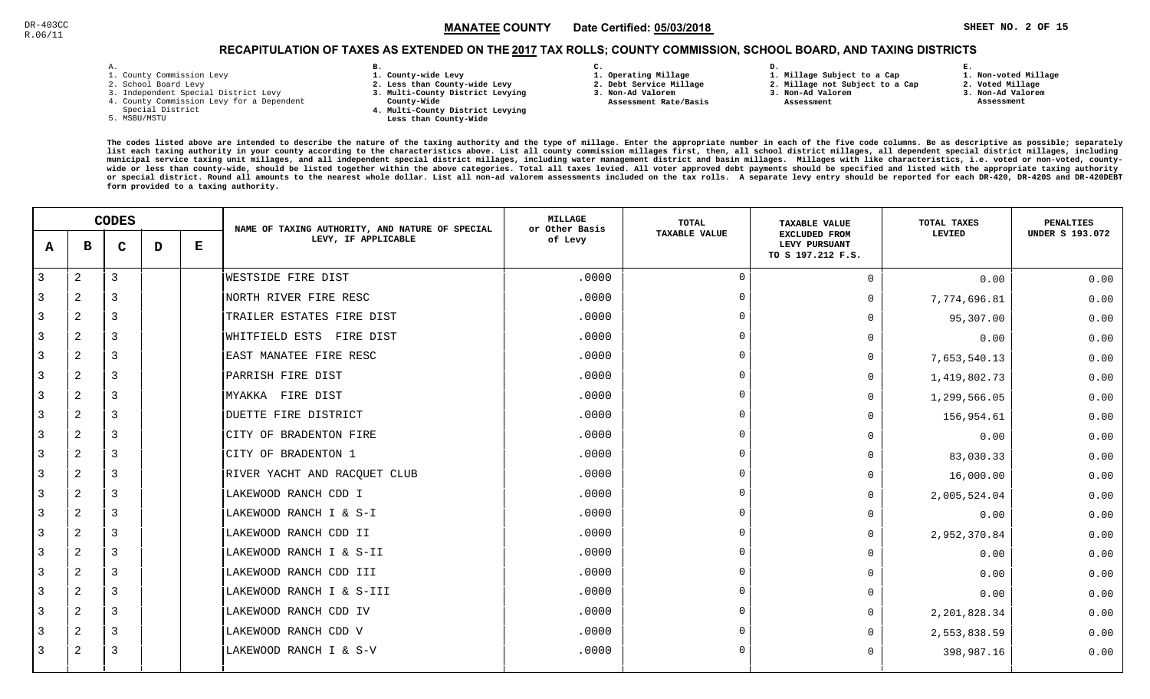# RECAPITULATION OF TAXES AS EXTENDED ON THE <u>2017</u> TAX ROLLS; COUNTY COMMISSION, SCHOOL BOARD, AND TAXING DISTRICTS

| - |   |  |  |
|---|---|--|--|
|   | ۰ |  |  |

- 1. County Commission Levy
- 2. School Board Levy
- 3. Independent Special District Levy
- 4. County Commission Levy for a Dependent
- Special District
- 5. MSBU/MSTU
- **B. 1. County-wide Levy**
- **2. Less than County-wide Levy**
- **3. Multi-County District Levying**
- **County-Wide** 
	- **4. Multi-County District Levying Less than County-Wide**
- **C. 1. Operating Millage 3. Non-Ad Valorem**

**2. Debt Service Millage** 

 **Assessment Rate/Basis**

- 
- **1. Millage Subject to a Cap**

**D.** 

- **2. Millage not Subject to a Cap**
- **3. Non-Ad Valorem Assessment** 
	-

**1. Non-voted Millage**

**E.**

- **2. Voted Millage**
- **3. Non-Ad Valorem**
- **Assessment**

|                | <b>CODES</b>   |             |   | NAME OF TAXING AUTHORITY, AND NATURE OF SPECIAL | <b>MILLAGE</b><br>or Other Basis | TOTAL   | <b>TAXABLE VALUE</b> | TOTAL TAXES                                                | PENALTIES    |                        |
|----------------|----------------|-------------|---|-------------------------------------------------|----------------------------------|---------|----------------------|------------------------------------------------------------|--------------|------------------------|
| A              | в              | $\mathbf C$ | D | Е                                               | LEVY, IF APPLICABLE              | of Levy | <b>TAXABLE VALUE</b> | <b>EXCLUDED FROM</b><br>LEVY PURSUANT<br>TO S 197.212 F.S. | LEVIED       | <b>UNDER S 193.072</b> |
| $\overline{3}$ | $\overline{a}$ | 3           |   |                                                 | WESTSIDE FIRE DIST               | .0000   | $\Omega$             | $\Omega$                                                   | 0.00         | 0.00                   |
| 3              | 2              | 3           |   |                                                 | NORTH RIVER FIRE RESC            | .0000   | $\overline{0}$       | $\Omega$                                                   | 7,774,696.81 | 0.00                   |
| 3              | 2              | 3           |   |                                                 | TRAILER ESTATES FIRE DIST        | .0000   | $\Omega$             | $\Omega$                                                   | 95,307.00    | 0.00                   |
| 3              | 2              | 3           |   |                                                 | FIRE DIST<br>WHITFIELD ESTS      | .0000   | $\Omega$             | $\Omega$                                                   | 0.00         | 0.00                   |
| 3              | 2              | 3           |   |                                                 | EAST MANATEE FIRE RESC           | .0000   | $\Omega$             | $\Omega$                                                   | 7,653,540.13 | 0.00                   |
| 3              | $\overline{a}$ | 3           |   |                                                 | PARRISH FIRE DIST                | .0000   | $\overline{0}$       | $\Omega$                                                   | 1,419,802.73 | 0.00                   |
| 3              | 2              | 3           |   |                                                 | MYAKKA FIRE DIST                 | .0000   | $\Omega$             | $\Omega$                                                   | 1,299,566.05 | 0.00                   |
| 3              | 2              | 3           |   |                                                 | DUETTE FIRE DISTRICT             | .0000   | $\Omega$             | $\Omega$                                                   | 156,954.61   | 0.00                   |
| 3              | 2              | 3           |   |                                                 | CITY OF BRADENTON FIRE           | .0000   | $\Omega$             | $\Omega$                                                   | 0.00         | 0.00                   |
| 3              | 2              | 3           |   |                                                 | CITY OF BRADENTON 1              | .0000   | $\Omega$             | $\Omega$                                                   | 83,030.33    | 0.00                   |
| 3              | 2              | 3           |   |                                                 | RIVER YACHT AND RACQUET CLUB     | .0000   | $\Omega$             | $\Omega$                                                   | 16,000.00    | 0.00                   |
| 3              | 2              | 3           |   |                                                 | LAKEWOOD RANCH CDD I             | .0000   | $\Omega$             | $\Omega$                                                   | 2,005,524.04 | 0.00                   |
| 3              | 2              | 3           |   |                                                 | LAKEWOOD RANCH I & S-I           | .0000   | $\Omega$             | $\Omega$                                                   | 0.00         | 0.00                   |
| 3              | 2              | 3           |   |                                                 | LAKEWOOD RANCH CDD II            | .0000   | $\Omega$             | 0                                                          | 2,952,370.84 | 0.00                   |
| 3              | 2              | 3           |   |                                                 | LAKEWOOD RANCH I & S-II          | .0000   | $\Omega$             | $\Omega$                                                   | 0.00         | 0.00                   |
| 3              | $\overline{2}$ | 3           |   |                                                 | LAKEWOOD RANCH CDD III           | .0000   | $\Omega$             | $\Omega$                                                   | 0.00         | 0.00                   |
| 3              | 2              | 3           |   |                                                 | LAKEWOOD RANCH I & S-III         | .0000   | $\cap$               | $\Omega$                                                   | 0.00         | 0.00                   |
| 3              | 2              | 3           |   |                                                 | LAKEWOOD RANCH CDD IV            | .0000   | $\Omega$             | $\Omega$                                                   | 2,201,828.34 | 0.00                   |
| 3              | 2              | 3           |   |                                                 | LAKEWOOD RANCH CDD V             | .0000   | $\Omega$             |                                                            | 2,553,838.59 | 0.00                   |
| 3              | 2              | 3           |   |                                                 | LAKEWOOD RANCH I & S-V           | .0000   | $\Omega$             | 0                                                          | 398,987.16   | 0.00                   |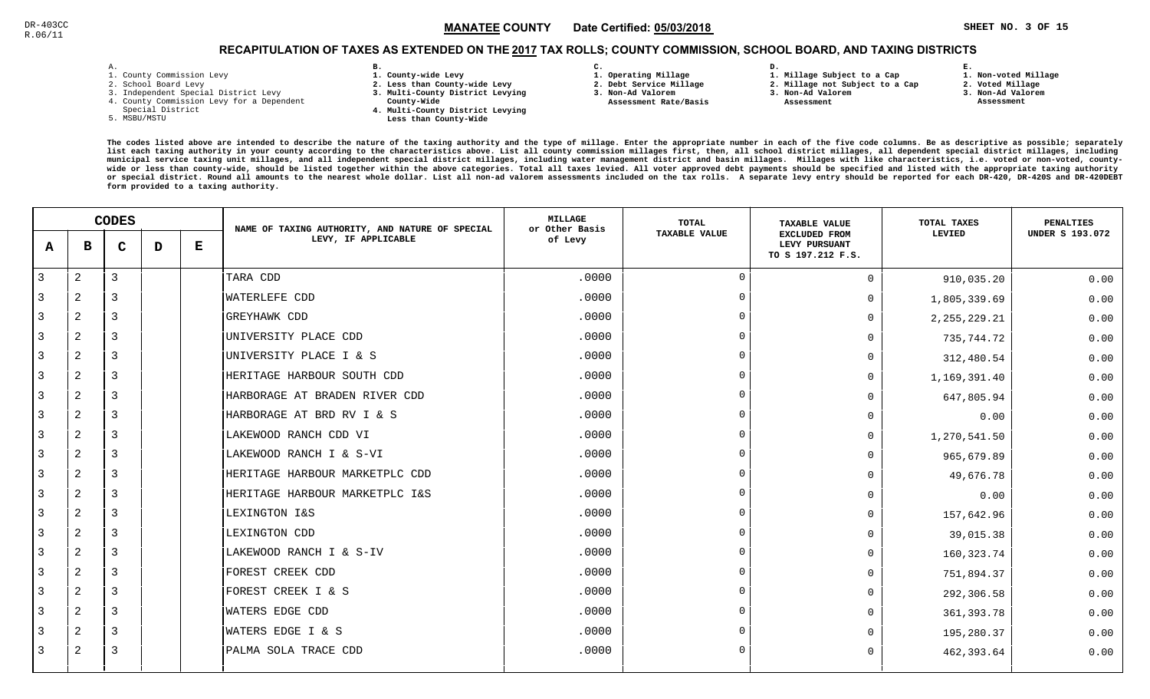# RECAPITULATION OF TAXES AS EXTENDED ON THE <u>2017</u> TAX ROLLS; COUNTY COMMISSION, SCHOOL BOARD, AND TAXING DISTRICTS

| i. |  |  |
|----|--|--|

- 1. County Commission Levy
- 2. School Board Levy
- 3. Independent Special District Levy
- 4. County Commission Levy for a Dependent
- Special District
- 5. MSBU/MSTU
- **B. 1. County-wide Levy**
- **2. Less than County-wide Levy**
- **3. Multi-County District Levying**
- **County-Wide** 
	- **4. Multi-County District Levying Less than County-Wide**
- **C. 3. Non-Ad Valorem**

**2. Debt Service Millage** 

 **Assessment Rate/Basis**

- **1. Operating Millage**
- **1. Millage Subject to a Cap**

**D.** 

- **2. Millage not Subject to a Cap**
- **3. Non-Ad Valorem**
	- **Assessment**

**1. Non-voted Millage**

**E.**

- **2. Voted Millage**
- **3. Non-Ad Valorem**
- **Assessment**

|   | <b>CODES</b>   |             |   | NAME OF TAXING AUTHORITY, AND NATURE OF SPECIAL | MILLAGE<br>or Other Basis      | TOTAL   | <b>TAXABLE VALUE</b> | TOTAL TAXES                                                | PENALTIES      |                        |
|---|----------------|-------------|---|-------------------------------------------------|--------------------------------|---------|----------------------|------------------------------------------------------------|----------------|------------------------|
| A | в              | $\mathbf C$ | D | $\bf E$                                         | LEVY, IF APPLICABLE            | of Levy | <b>TAXABLE VALUE</b> | <b>EXCLUDED FROM</b><br>LEVY PURSUANT<br>TO S 197.212 F.S. | LEVIED         | <b>UNDER S 193.072</b> |
| 3 | 2              | 3           |   |                                                 | TARA CDD                       | .0000   | $\cap$               | $\Omega$                                                   | 910,035.20     | 0.00                   |
|   | $\mathbf{2}$   | 3           |   |                                                 | WATERLEFE CDD                  | .0000   | $\cap$               | $\Omega$                                                   | 1,805,339.69   | 0.00                   |
| 3 | $\mathbf{2}$   | 3           |   |                                                 | GREYHAWK CDD                   | .0000   |                      | $\Omega$                                                   | 2, 255, 229.21 | 0.00                   |
| 3 | 2              | 3           |   |                                                 | UNIVERSITY PLACE CDD           | .0000   |                      | <sup>n</sup>                                               | 735,744.72     | 0.00                   |
| 3 | $\overline{a}$ | 3           |   |                                                 | UNIVERSITY PLACE I & S         | .0000   |                      |                                                            | 312,480.54     | 0.00                   |
| 3 | $\overline{a}$ | 3           |   |                                                 | HERITAGE HARBOUR SOUTH CDD     | .0000   | $\Omega$             | 0                                                          | 1,169,391.40   | 0.00                   |
|   | $\mathbf{2}$   | 3           |   |                                                 | HARBORAGE AT BRADEN RIVER CDD  | .0000   |                      | <sup>n</sup>                                               | 647,805.94     | 0.00                   |
| 3 | $\overline{2}$ | 3           |   |                                                 | HARBORAGE AT BRD RV I & S      | .0000   |                      | <sup>n</sup>                                               | 0.00           | 0.00                   |
| 3 | $\mathbf{2}$   | 3           |   |                                                 | LAKEWOOD RANCH CDD VI          | .0000   |                      | $\Omega$                                                   | 1,270,541.50   | 0.00                   |
| 3 | $\overline{a}$ | 3           |   |                                                 | LAKEWOOD RANCH I & S-VI        | .0000   |                      | $\Omega$                                                   | 965,679.89     | 0.00                   |
| 3 | 2              | 3           |   |                                                 | HERITAGE HARBOUR MARKETPLC CDD | .0000   |                      | $\Omega$                                                   | 49,676.78      | 0.00                   |
| 3 | 2              | 3           |   |                                                 | HERITAGE HARBOUR MARKETPLC I&S | .0000   |                      | $\Omega$                                                   | 0.00           | 0.00                   |
| 3 | $\overline{2}$ | 3           |   |                                                 | LEXINGTON I&S                  | .0000   |                      | <sup>0</sup>                                               | 157,642.96     | 0.00                   |
|   | $\mathbf{2}$   | 3           |   |                                                 | LEXINGTON CDD                  | .0000   | $\cap$               | $\Omega$                                                   | 39,015.38      | 0.00                   |
| 3 | $\overline{2}$ | 3           |   |                                                 | LAKEWOOD RANCH I & S-IV        | .0000   |                      | 0                                                          | 160,323.74     | 0.00                   |
| 3 | 2              | 3           |   |                                                 | FOREST CREEK CDD               | .0000   |                      | $\Omega$                                                   | 751,894.37     | 0.00                   |
| 3 | $\overline{a}$ | 3           |   |                                                 | FOREST CREEK I & S             | .0000   |                      | $\Omega$                                                   | 292,306.58     | 0.00                   |
| 3 | 2              | 3           |   |                                                 | WATERS EDGE CDD                | .0000   |                      | $\Omega$                                                   | 361, 393.78    | 0.00                   |
| 3 | 2              | 3           |   |                                                 | WATERS EDGE I & S              | .0000   |                      | U                                                          | 195,280.37     | 0.00                   |
| 3 | $\overline{2}$ | 3           |   |                                                 | PALMA SOLA TRACE CDD           | .0000   |                      |                                                            | 462,393.64     | 0.00                   |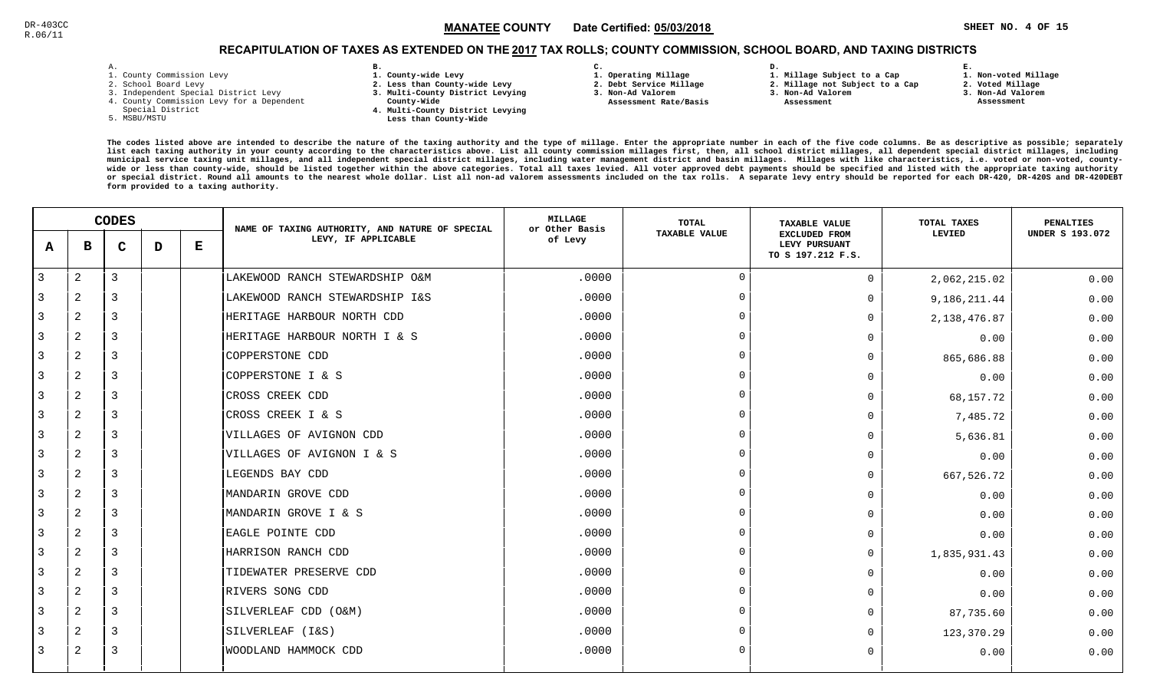# RECAPITULATION OF TAXES AS EXTENDED ON THE <u>2017</u> TAX ROLLS; COUNTY COMMISSION, SCHOOL BOARD, AND TAXING DISTRICTS

| - |   |  |  |
|---|---|--|--|
|   | ۰ |  |  |

- 1. County Commission Levy
- 2. School Board Levy
- 3. Independent Special District Levy
- 4. County Commission Levy for a Dependent
- Special District
- 5. MSBU/MSTU
- **B. 1. County-wide Levy**
- **2. Less than County-wide Levy**
- **3. Multi-County District Levying**
- **County-Wide** 
	- **4. Multi-County District Levying Less than County-Wide**
- **C.**
- **1. Operating Millage**

 **Assessment Rate/Basis**

- **2. Debt Service Millage**
- **3. Non-Ad Valorem**
- **3. Non-Ad Valorem**

**D.** 

 **Assessment** 

 **1. Millage Subject to a Cap2. Millage not Subject to a Cap**

 **1. Non-voted Millage2. Voted Millage**

**E.**

- **3. Non-Ad Valorem**
- **Assessment**

|   | <b>CODES</b>   |   |   | NAME OF TAXING AUTHORITY, AND NATURE OF SPECIAL | MILLAGE<br>or Other Basis      | TOTAL   | <b>TAXABLE VALUE</b> | TOTAL TAXES                                                | <b>PENALTIES</b> |                        |
|---|----------------|---|---|-------------------------------------------------|--------------------------------|---------|----------------------|------------------------------------------------------------|------------------|------------------------|
| A | в              | C | D | Е                                               | LEVY, IF APPLICABLE            | of Levy | <b>TAXABLE VALUE</b> | <b>EXCLUDED FROM</b><br>LEVY PURSUANT<br>TO S 197.212 F.S. | LEVIED           | <b>UNDER S 193.072</b> |
| 3 | $\overline{c}$ | 3 |   |                                                 | LAKEWOOD RANCH STEWARDSHIP O&M | .0000   | $\Omega$             | $\mathbf 0$                                                | 2,062,215.02     | 0.00                   |
| 3 | 2              | 3 |   |                                                 | LAKEWOOD RANCH STEWARDSHIP I&S | .0000   | $\Omega$             | $\Omega$                                                   | 9,186,211.44     | 0.00                   |
| 3 | 2              | 3 |   |                                                 | HERITAGE HARBOUR NORTH CDD     | .0000   |                      | $\Omega$                                                   | 2, 138, 476.87   | 0.00                   |
| 3 | 2              | 3 |   |                                                 | HERITAGE HARBOUR NORTH I & S   | .0000   | $\cap$               | $\Omega$                                                   | 0.00             | 0.00                   |
| 3 | $\overline{c}$ | 3 |   |                                                 | COPPERSTONE CDD                | .0000   |                      | $\Omega$                                                   | 865,686.88       | 0.00                   |
| 3 | 2              | 3 |   |                                                 | COPPERSTONE I & S              | .0000   | $\Omega$             | $\Omega$                                                   | 0.00             | 0.00                   |
| 3 | 2              | 3 |   |                                                 | CROSS CREEK CDD                | .0000   | $\cap$               | $\Omega$                                                   | 68,157.72        | 0.00                   |
| 3 | 2              | 3 |   |                                                 | CROSS CREEK I & S              | .0000   |                      | $\Omega$                                                   | 7,485.72         | 0.00                   |
| 3 | $\overline{2}$ | 3 |   |                                                 | VILLAGES OF AVIGNON CDD        | .0000   |                      | $\Omega$                                                   | 5,636.81         | 0.00                   |
| 3 | 2              | 3 |   |                                                 | VILLAGES OF AVIGNON I & S      | .0000   |                      | $\mathbf 0$                                                | 0.00             | 0.00                   |
| 3 | 2              | 3 |   |                                                 | LEGENDS BAY CDD                | .0000   | $\cap$               | $\Omega$                                                   | 667,526.72       | 0.00                   |
| 3 | $\overline{c}$ | 3 |   |                                                 | MANDARIN GROVE CDD             | .0000   |                      | $\Omega$                                                   | 0.00             | 0.00                   |
| 3 | 2              | 3 |   |                                                 | MANDARIN GROVE I & S           | .0000   |                      | $\Omega$                                                   | 0.00             | 0.00                   |
| 3 | 2              | 3 |   |                                                 | EAGLE POINTE CDD               | .0000   | $\cap$               | $\Omega$                                                   | 0.00             | 0.00                   |
| 3 | 2              | 3 |   |                                                 | HARRISON RANCH CDD             | .0000   |                      | $\mathbf 0$                                                | 1,835,931.43     | 0.00                   |
| 3 | $\overline{2}$ | 3 |   |                                                 | TIDEWATER PRESERVE CDD         | .0000   |                      | $\Omega$                                                   | 0.00             | 0.00                   |
| 3 | 2              | 3 |   |                                                 | RIVERS SONG CDD                | .0000   |                      | $\Omega$                                                   | 0.00             | 0.00                   |
| 3 | 2              | 3 |   |                                                 | SILVERLEAF CDD (O&M)           | .0000   |                      | $\Omega$                                                   | 87,735.60        | 0.00                   |
| 3 | 2              | 3 |   |                                                 | SILVERLEAF (I&S)               | .0000   |                      | $\Omega$                                                   | 123,370.29       | 0.00                   |
| 3 | 2              | 3 |   |                                                 | WOODLAND HAMMOCK CDD           | .0000   | $\Omega$             | $\Omega$                                                   | 0.00             | 0.00                   |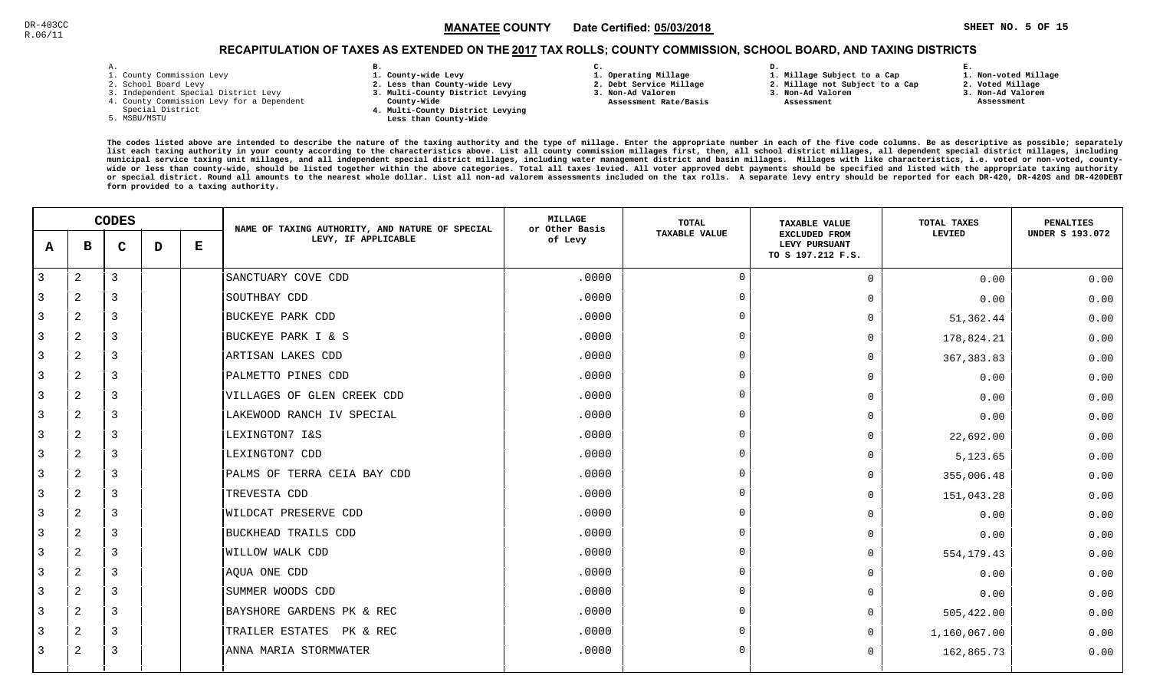**1. Non-voted Millage**

# RECAPITULATION OF TAXES AS EXTENDED ON THE <u>2017</u> TAX ROLLS; COUNTY COMMISSION, SCHOOL BOARD, AND TAXING DISTRICTS

| – | ٠ |  |  |
|---|---|--|--|

- 1. County Commission Levy
- 2. School Board Levy
- 3. Independent Special District Levy
- 4. County Commission Levy for a Dependent
- Special District
- 5. MSBU/MSTU
- **B. 1. County-wide Levy**
- **2. Less than County-wide Levy**
- **3. Multi-County District Levying**
- **County-Wide** 
	- **4. Multi-County District Levying Less than County-Wide**
- **C. 3. Non-Ad Valorem**

**2. Debt Service Millage** 

 **Assessment Rate/Basis**

- **1. Operating Millage**
- **1. Millage Subject to a Cap**

**D.** 

- **2. Millage not Subject to a Cap**
- **3. Non-Ad Valorem**
	- **Assessment**

**2. Voted Millage**

**E.**

- **3. Non-Ad Valorem**
- **Assessment**

|   |                | <b>CODES</b>   |   |           | NAME OF TAXING AUTHORITY, AND NATURE OF SPECIAL | <b>MILLAGE</b><br>or Other Basis | <b>TOTAL</b>   | <b>TAXABLE VALUE</b>                                       | TOTAL TAXES  | PENALTIES              |
|---|----------------|----------------|---|-----------|-------------------------------------------------|----------------------------------|----------------|------------------------------------------------------------|--------------|------------------------|
| A | в              | $\mathbf C$    | D | ${\bf E}$ | LEVY, IF APPLICABLE                             | of Levy                          | TAXABLE VALUE  | <b>EXCLUDED FROM</b><br>LEVY PURSUANT<br>TO S 197.212 F.S. | LEVIED       | <b>UNDER S 193.072</b> |
| 3 | 2              | $\mathbf{3}$   |   |           | SANCTUARY COVE CDD                              | .0000                            | $\Omega$       | $\Omega$                                                   | 0.00         | 0.00                   |
| 3 | 2              | 3              |   |           | SOUTHBAY CDD                                    | .0000                            | $\overline{0}$ | 0                                                          | 0.00         | 0.00                   |
| 3 | 2              | 3              |   |           | <b>BUCKEYE PARK CDD</b>                         | .0000                            | $\Omega$       | 0                                                          | 51,362.44    | 0.00                   |
| 3 | 2              | $\overline{3}$ |   |           | BUCKEYE PARK I & S                              | .0000                            | $\overline{0}$ | 0                                                          | 178,824.21   | 0.00                   |
| 3 | 2              | $\overline{3}$ |   |           | ARTISAN LAKES CDD                               | .0000                            | $\Omega$       | 0                                                          | 367, 383.83  | 0.00                   |
| 3 | 2              | 3              |   |           | PALMETTO PINES CDD                              | .0000                            | $\overline{0}$ | U                                                          | 0.00         | 0.00                   |
| 3 | $\mathbf{2}$   | 3              |   |           | VILLAGES OF GLEN CREEK CDD                      | .0000                            | $\Omega$       | 0                                                          | 0.00         | 0.00                   |
| 3 | 2              | 3              |   |           | LAKEWOOD RANCH IV SPECIAL                       | .0000                            | $\Omega$       | 0                                                          | 0.00         | 0.00                   |
| 3 | $\mathbf{2}$   | 3              |   |           | LEXINGTON7 I&S                                  | .0000                            | $\Omega$       | 0                                                          | 22,692.00    | 0.00                   |
| 3 | 2              | 3              |   |           | LEXINGTON7 CDD                                  | .0000                            | $\Omega$       | 0                                                          | 5,123.65     | 0.00                   |
| 3 | 2              | $\overline{3}$ |   |           | PALMS OF TERRA CEIA BAY CDD                     | .0000                            | $\overline{0}$ | 0                                                          | 355,006.48   | 0.00                   |
| 3 | 2              | $\overline{3}$ |   |           | TREVESTA CDD                                    | .0000                            | $\Omega$       | $\Omega$                                                   | 151,043.28   | 0.00                   |
| 3 | $\overline{2}$ | $\overline{3}$ |   |           | <b>WILDCAT PRESERVE CDD</b>                     | .0000                            | $\Omega$       | 0                                                          | 0.00         | 0.00                   |
| 3 | $\overline{c}$ | 3              |   |           | BUCKHEAD TRAILS CDD                             | .0000                            | $\Omega$       | 0                                                          | 0.00         | 0.00                   |
| 3 | 2              | 3              |   |           | <b>WILLOW WALK CDD</b>                          | .0000                            | $\overline{0}$ | $\Omega$                                                   | 554,179.43   | 0.00                   |
| 3 | $\mathbf{2}$   | 3              |   |           | AQUA ONE CDD                                    | .0000                            | $\Omega$       | $\Omega$                                                   | 0.00         | 0.00                   |
| 3 | $\overline{a}$ | $\overline{3}$ |   |           | SUMMER WOODS CDD                                | .0000                            | $\Omega$       | 0                                                          | 0.00         | 0.00                   |
| 3 | 2              | $\overline{3}$ |   |           | BAYSHORE GARDENS PK & REC                       | .0000                            | $\Omega$       | 0                                                          | 505,422.00   | 0.00                   |
| 3 | 2              | $\overline{3}$ |   |           | TRAILER ESTATES PK & REC                        | .0000                            | $\Omega$       | 0                                                          | 1,160,067.00 | 0.00                   |
| 3 | 2              | 3              |   |           | ANNA MARIA STORMWATER                           | .0000                            | $\Omega$       | $\Omega$                                                   | 162,865.73   | 0.00                   |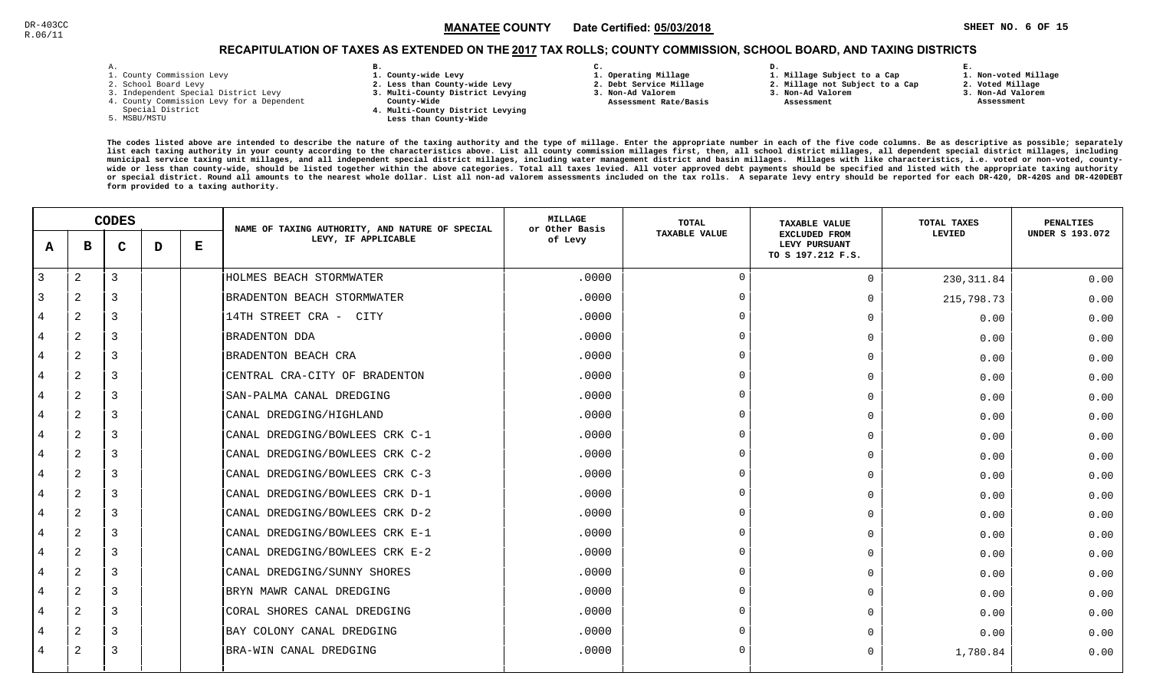# RECAPITULATION OF TAXES AS EXTENDED ON THE <u>2017</u> TAX ROLLS; COUNTY COMMISSION, SCHOOL BOARD, AND TAXING DISTRICTS

| ۰ |  |  |
|---|--|--|

- 1. County Commission Levy
- 2. School Board Levy
- 3. Independent Special District Levy
- 4. County Commission Levy for a Dependent
- Special District
- 5. MSBU/MSTU
- **B. 1. County-wide Levy**
- **2. Less than County-wide Levy**
- **3. Multi-County District Levying**
- **County-Wide** 
	- **4. Multi-County District Levying Less than County-Wide**
- **C.**
- **1. Operating Millage**

 **Assessment Rate/Basis**

- **2. Debt Service Millage**
- **3. Non-Ad Valorem**
- **2. Millage not Subject to a Cap**

**D.** 

**3. Non-Ad Valorem Assessment** 

**1. Millage Subject to a Cap**

 **1. Non-voted Millage2. Voted Millage**

**E.**

- **3. Non-Ad Valorem**
- **Assessment**

|                | <b>CODES</b>   |   |   | NAME OF TAXING AUTHORITY, AND NATURE OF SPECIAL | <b>MILLAGE</b><br>or Other Basis | TOTAL   | <b>TAXABLE VALUE</b> | TOTAL TAXES                                                | <b>PENALTIES</b> |                        |
|----------------|----------------|---|---|-------------------------------------------------|----------------------------------|---------|----------------------|------------------------------------------------------------|------------------|------------------------|
| A              | в              | C | D | Е                                               | LEVY, IF APPLICABLE              | of Levy | <b>TAXABLE VALUE</b> | <b>EXCLUDED FROM</b><br>LEVY PURSUANT<br>TO S 197.212 F.S. | <b>LEVIED</b>    | <b>UNDER S 193.072</b> |
| 3              | $\overline{a}$ | 3 |   |                                                 | HOLMES BEACH STORMWATER          | .0000   | $\Omega$             | $\Omega$                                                   | 230, 311.84      | 0.00                   |
| 3              | $\overline{2}$ | 3 |   |                                                 | BRADENTON BEACH STORMWATER       | .0000   | $\Omega$             | $\Omega$                                                   | 215,798.73       | 0.00                   |
| 4              | 2              | 3 |   |                                                 | 14TH STREET CRA -<br>CITY        | .0000   | $\cap$               | U                                                          | 0.00             | 0.00                   |
| 4              | 2              | 3 |   |                                                 | <b>BRADENTON DDA</b>             | .0000   | $\Omega$             | $\Omega$                                                   | 0.00             | 0.00                   |
| 4              | 2              | 3 |   |                                                 | BRADENTON BEACH CRA              | .0000   | $\cap$               | $\Omega$                                                   | 0.00             | 0.00                   |
| 4              | 2              | 3 |   |                                                 | CENTRAL CRA-CITY OF BRADENTON    | .0000   | $\Omega$             | $\Omega$                                                   | 0.00             | 0.00                   |
| $\overline{4}$ | 2              | 3 |   |                                                 | SAN-PALMA CANAL DREDGING         | .0000   | $\cap$               | $\Omega$                                                   | 0.00             | 0.00                   |
| 4              | 2              | 3 |   |                                                 | CANAL DREDGING/HIGHLAND          | .0000   | $\cap$               | $\cap$                                                     | 0.00             | 0.00                   |
| $\overline{4}$ | $\overline{2}$ | 3 |   |                                                 | CANAL DREDGING/BOWLEES CRK C-1   | .0000   | $\cap$               | $\Omega$                                                   | 0.00             | 0.00                   |
| 4              | 2              | 3 |   |                                                 | CANAL DREDGING/BOWLEES CRK C-2   | .0000   | $\cap$               | U                                                          | 0.00             | 0.00                   |
| 4              | 2              | 3 |   |                                                 | CANAL DREDGING/BOWLEES CRK C-3   | .0000   | $\Omega$             | $\Omega$                                                   | 0.00             | 0.00                   |
| 4              | 2              | 3 |   |                                                 | CANAL DREDGING/BOWLEES CRK D-1   | .0000   | $\Omega$             | 0                                                          | 0.00             | 0.00                   |
| $\overline{4}$ | 2              | 3 |   |                                                 | CANAL DREDGING/BOWLEES CRK D-2   | .0000   | $\cap$               | $\Omega$                                                   | 0.00             | 0.00                   |
| $\overline{4}$ | 2              | 3 |   |                                                 | CANAL DREDGING/BOWLEES CRK E-1   | .0000   | $\Omega$             | $\Omega$                                                   | 0.00             | 0.00                   |
| 4              | $\mathbf{2}$   | 3 |   |                                                 | CANAL DREDGING/BOWLEES CRK E-2   | .0000   |                      | $\Omega$                                                   | 0.00             | 0.00                   |
| $\overline{4}$ | 2              | 3 |   |                                                 | CANAL DREDGING/SUNNY SHORES      | .0000   | $\Omega$             | $\Omega$                                                   | 0.00             | 0.00                   |
| 4              | $\mathbf{2}$   | 3 |   |                                                 | BRYN MAWR CANAL DREDGING         | .0000   | $\cap$               | $\cap$                                                     | 0.00             | 0.00                   |
| 4              | 2              | 3 |   |                                                 | CORAL SHORES CANAL DREDGING      | .0000   | $\Omega$             | U                                                          | 0.00             | 0.00                   |
| 4              | 2              | 3 |   |                                                 | BAY COLONY CANAL DREDGING        | .0000   | $\cap$               |                                                            | 0.00             | 0.00                   |
| 4              | 2              | 3 |   |                                                 | BRA-WIN CANAL DREDGING           | .0000   | $\cap$               | 0                                                          | 1,780.84         | 0.00                   |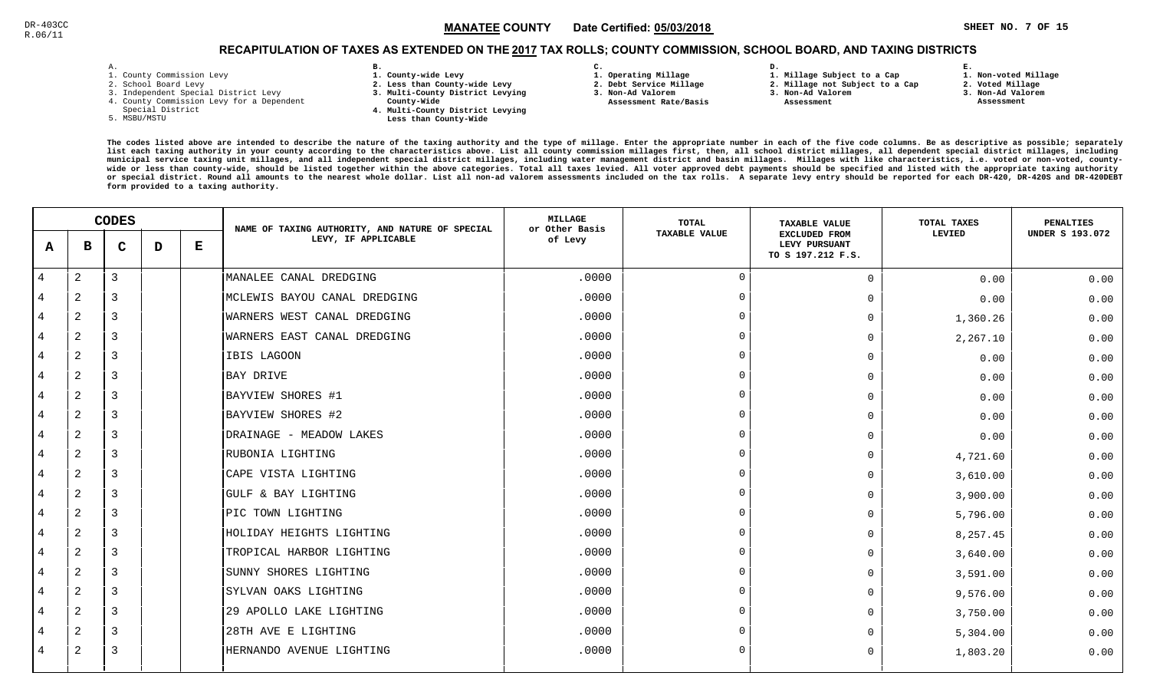# RECAPITULATION OF TAXES AS EXTENDED ON THE <u>2017</u> TAX ROLLS; COUNTY COMMISSION, SCHOOL BOARD, AND TAXING DISTRICTS

| ۰ |  |  |
|---|--|--|

- 1. County Commission Levy
- 2. School Board Levy
- 3. Independent Special District Levy
- 4. County Commission Levy for a Dependent
- Special District
- 5. MSBU/MSTU
- **B. 1. County-wide Levy**
- **2. Less than County-wide Levy**
- **3. Multi-County District Levying**
- **County-Wide** 
	- **4. Multi-County District Levying Less than County-Wide**
- **C.**
- **1. Operating Millage**
- **2. Debt Service Millage**
- **3. Non-Ad Valorem Assessment Rate/Basis**
- **2. Millage not Subject to a Cap**

**D.** 

**3. Non-Ad Valorem**

**1. Millage Subject to a Cap**

 **Assessment** 

 **1. Non-voted Millage2. Voted Millage**

**E.**

- **3. Non-Ad Valorem**
- 
- **Assessment**

|   | <b>CODES</b> |             |   | NAME OF TAXING AUTHORITY, AND NATURE OF SPECIAL | <b>MILLAGE</b><br>or Other Basis | <b>TOTAL</b> | <b>TAXABLE VALUE</b> | <b>TOTAL TAXES</b>                                         | <b>PENALTIES</b> |                        |
|---|--------------|-------------|---|-------------------------------------------------|----------------------------------|--------------|----------------------|------------------------------------------------------------|------------------|------------------------|
| A | в            | $\mathbf C$ | D | Е                                               | LEVY, IF APPLICABLE              | of Levy      | <b>TAXABLE VALUE</b> | <b>EXCLUDED FROM</b><br>LEVY PURSUANT<br>TO S 197.212 F.S. | LEVIED           | <b>UNDER S 193.072</b> |
| 4 | $\mathbf{2}$ | 3           |   |                                                 | MANALEE CANAL DREDGING           | .0000        | $\Omega$             | $\mathbf 0$                                                | 0.00             | 0.00                   |
| 4 | 2            | 3           |   |                                                 | MCLEWIS BAYOU CANAL DREDGING     | .0000        | $\Omega$             | $\Omega$                                                   | 0.00             | 0.00                   |
| 4 | $\mathbf{2}$ | 3           |   |                                                 | WARNERS WEST CANAL DREDGING      | .0000        | $\Omega$             | $\mathbf 0$                                                | 1,360.26         | 0.00                   |
| 4 | 2            | 3           |   |                                                 | WARNERS EAST CANAL DREDGING      | .0000        | $\Omega$             | $\Omega$                                                   | 2,267.10         | 0.00                   |
| 4 | 2            | 3           |   |                                                 | IBIS LAGOON                      | .0000        | $\Omega$             | $\mathbf 0$                                                | 0.00             | 0.00                   |
| 4 | $\mathbf{2}$ | 3           |   |                                                 | BAY DRIVE                        | .0000        | $\Omega$             | $\mathbf 0$                                                | 0.00             | 0.00                   |
| 4 | $\mathbf{2}$ | 3           |   |                                                 | BAYVIEW SHORES #1                | .0000        | $\Omega$             | $\overline{0}$                                             | 0.00             | 0.00                   |
| 4 | 2            | 3           |   |                                                 | BAYVIEW SHORES #2                | .0000        |                      | $\overline{0}$                                             | 0.00             | 0.00                   |
| 4 | 2            | 3           |   |                                                 | DRAINAGE - MEADOW LAKES          | .0000        | $\Omega$             | $\Omega$                                                   | 0.00             | 0.00                   |
| 4 | 2            | 3           |   |                                                 | RUBONIA LIGHTING                 | .0000        | $\Omega$             | $\Omega$                                                   | 4,721.60         | 0.00                   |
| 4 | 2            | 3           |   |                                                 | CAPE VISTA LIGHTING              | .0000        | $\Omega$             | $\Omega$                                                   | 3,610.00         | 0.00                   |
| 4 | 2            | 3           |   |                                                 | GULF & BAY LIGHTING              | .0000        | $\Omega$             | $\Omega$                                                   | 3,900.00         | 0.00                   |
| 4 | 2            | 3           |   |                                                 | PIC TOWN LIGHTING                | .0000        | $\Omega$             | $\Omega$                                                   | 5,796.00         | 0.00                   |
| 4 | $\mathbf{2}$ | 3           |   |                                                 | HOLIDAY HEIGHTS LIGHTING         | .0000        | $\cap$               | $\overline{0}$                                             | 8,257.45         | 0.00                   |
| 4 | 2            | 3           |   |                                                 | TROPICAL HARBOR LIGHTING         | .0000        | $\Omega$             | $\Omega$                                                   | 3,640.00         | 0.00                   |
| 4 | $\mathbf{2}$ | 3           |   |                                                 | SUNNY SHORES LIGHTING            | .0000        | $\Omega$             | $\Omega$                                                   | 3,591.00         | 0.00                   |
| 4 | $\mathbf{2}$ | 3           |   |                                                 | SYLVAN OAKS LIGHTING             | .0000        | $\Omega$             | $\Omega$                                                   | 9,576.00         | 0.00                   |
| 4 | $\mathbf{2}$ | 3           |   |                                                 | 29 APOLLO LAKE LIGHTING          | .0000        | $\Omega$             | $\Omega$                                                   | 3,750.00         | 0.00                   |
| 4 | $\mathbf{2}$ | 3           |   |                                                 | 28TH AVE E LIGHTING              | .0000        | $\Omega$             | $\Omega$                                                   | 5,304.00         | 0.00                   |
| 4 | 2            | 3           |   |                                                 | HERNANDO AVENUE LIGHTING         | .0000        | $\Omega$             | $\mathbf 0$                                                | 1,803.20         | 0.00                   |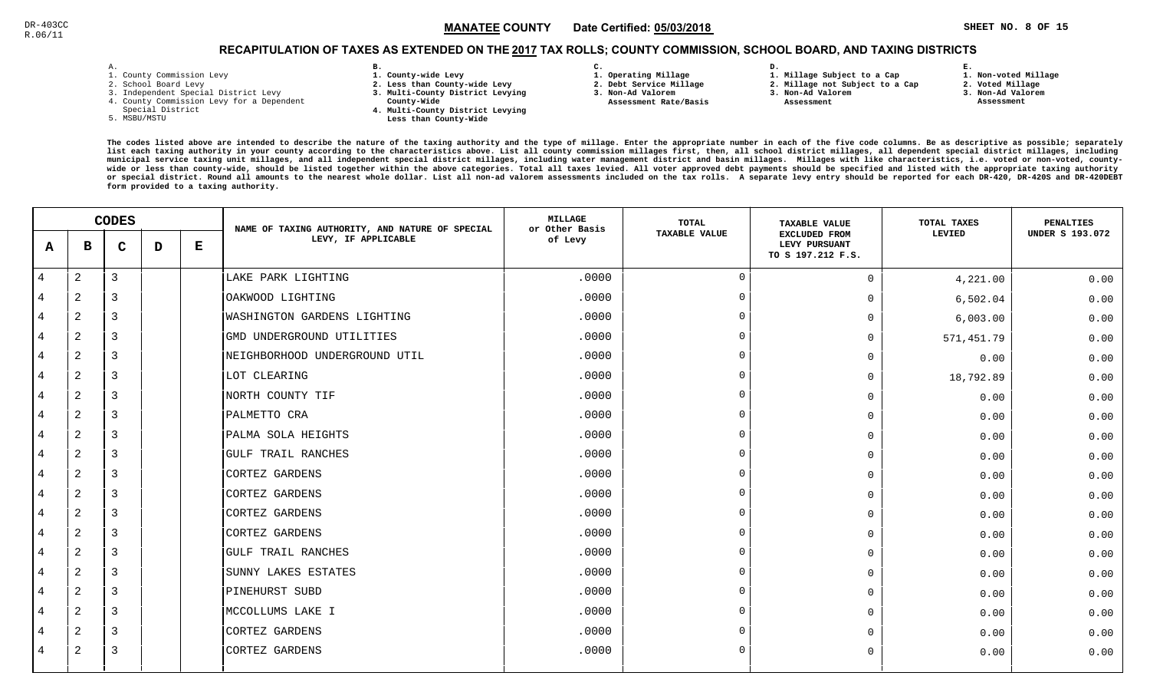**1. Non-voted Millage**

# RECAPITULATION OF TAXES AS EXTENDED ON THE <u>2017</u> TAX ROLLS; COUNTY COMMISSION, SCHOOL BOARD, AND TAXING DISTRICTS

| - |   |  |  |
|---|---|--|--|
|   | ۰ |  |  |

- 1. County Commission Levy
- 2. School Board Levy
- 3. Independent Special District Levy
- 4. County Commission Levy for a Dependent
- Special District
- 5. MSBU/MSTU
- **B. 1. County-wide Levy**
- **2. Less than County-wide Levy**
- **3. Multi-County District Levying**
- **County-Wide** 
	- **4. Multi-County District Levying Less than County-Wide**
- **C. 3. Non-Ad Valorem**
- **1. Operating Millage**

 **Assessment Rate/Basis**

- **2. Debt Service Millage** 
	- **2. Millage not Subject to a Cap3. Non-Ad Valorem**

**D.** 

 **Assessment** 

**1. Millage Subject to a Cap**

- -
- **2. Voted Millage 3. Non-Ad Valorem Assessment**

**E.**

|                |                | <b>CODES</b>   |   |   | NAME OF TAXING AUTHORITY, AND NATURE OF SPECIAL | MILLAGE<br>or Other Basis | TOTAL                | <b>TAXABLE VALUE</b>                                       | TOTAL TAXES | PENALTIES              |
|----------------|----------------|----------------|---|---|-------------------------------------------------|---------------------------|----------------------|------------------------------------------------------------|-------------|------------------------|
| A              | в              | C              | D | Е | LEVY, IF APPLICABLE                             | of Levy                   | <b>TAXABLE VALUE</b> | <b>EXCLUDED FROM</b><br>LEVY PURSUANT<br>TO S 197.212 F.S. | LEVIED      | <b>UNDER S 193.072</b> |
| $\overline{4}$ | 2              | $\overline{3}$ |   |   | LAKE PARK LIGHTING                              | .0000                     | $\Omega$             | $\overline{0}$                                             | 4,221.00    | 0.00                   |
| 4              | 2              | 3              |   |   | OAKWOOD LIGHTING                                | .0000                     | $\Omega$             | $\Omega$                                                   | 6,502.04    | 0.00                   |
| $\overline{4}$ | 2              | 3              |   |   | <b>WASHINGTON GARDENS LIGHTING</b>              | .0000                     | $\Omega$             | $\mathbf 0$                                                | 6,003.00    | 0.00                   |
| $\overline{4}$ | 2              | $\overline{3}$ |   |   | GMD UNDERGROUND UTILITIES                       | .0000                     | $\Omega$             | $\Omega$                                                   | 571,451.79  | 0.00                   |
| $\overline{4}$ | 2              | $\overline{3}$ |   |   | NEIGHBORHOOD UNDERGROUND UTIL                   | .0000                     | $\Omega$             | $\Omega$                                                   | 0.00        | 0.00                   |
| 4              | 2              | $\overline{3}$ |   |   | LOT CLEARING                                    | .0000                     | $\Omega$             | $\Omega$                                                   | 18,792.89   | 0.00                   |
| $\overline{4}$ | 2              | 3              |   |   | NORTH COUNTY TIF                                | .0000                     | $\Omega$             | $\Omega$                                                   | 0.00        | 0.00                   |
| $\overline{4}$ | 2              | 3              |   |   | PALMETTO CRA                                    | .0000                     | $\Omega$             | $\overline{0}$                                             | 0.00        | 0.00                   |
| 4              | 2              | 3              |   |   | PALMA SOLA HEIGHTS                              | .0000                     | $\Omega$             | $\Omega$                                                   | 0.00        | 0.00                   |
| $\overline{4}$ | 2              | $\overline{3}$ |   |   | <b>GULF TRAIL RANCHES</b>                       | .0000                     | $\Omega$             | $\Omega$                                                   | 0.00        | 0.00                   |
| $\overline{4}$ | 2              | $\overline{3}$ |   |   | <b>CORTEZ GARDENS</b>                           | .0000                     | $\Omega$             | $\Omega$                                                   | 0.00        | 0.00                   |
| $\overline{4}$ | 2              | 3              |   |   | <b>CORTEZ GARDENS</b>                           | .0000                     | $\Omega$             | $\Omega$                                                   | 0.00        | 0.00                   |
| 4              | 2              | 3              |   |   | CORTEZ GARDENS                                  | .0000                     | $\Omega$             | $\Omega$                                                   | 0.00        | 0.00                   |
| $\overline{4}$ | $\overline{c}$ | 3              |   |   | <b>CORTEZ GARDENS</b>                           | .0000                     | $\Omega$             | $\overline{0}$                                             | 0.00        | 0.00                   |
| $\overline{4}$ | 2              | 3              |   |   | <b>GULF TRAIL RANCHES</b>                       | .0000                     | $\Omega$             | $\Omega$                                                   | 0.00        | 0.00                   |
| 4              | 2              | 3              |   |   | SUNNY LAKES ESTATES                             | .0000                     | $\Omega$             | $\Omega$                                                   | 0.00        | 0.00                   |
| $\overline{4}$ | 2              | $\overline{3}$ |   |   | PINEHURST SUBD                                  | .0000                     | $\Omega$             | $\Omega$                                                   | 0.00        | 0.00                   |
| 4              | 2              | $\overline{3}$ |   |   | MCCOLLUMS LAKE I                                | .0000                     | $\Omega$             | $\Omega$                                                   | 0.00        | 0.00                   |
| 4              | 2              | 3              |   |   | CORTEZ GARDENS                                  | .0000                     | $\Omega$             | $\Omega$                                                   | 0.00        | 0.00                   |
| 4              | 2              | 3              |   |   | <b>CORTEZ GARDENS</b>                           | .0000                     | $\Omega$             | $\mathbf 0$                                                | 0.00        | 0.00                   |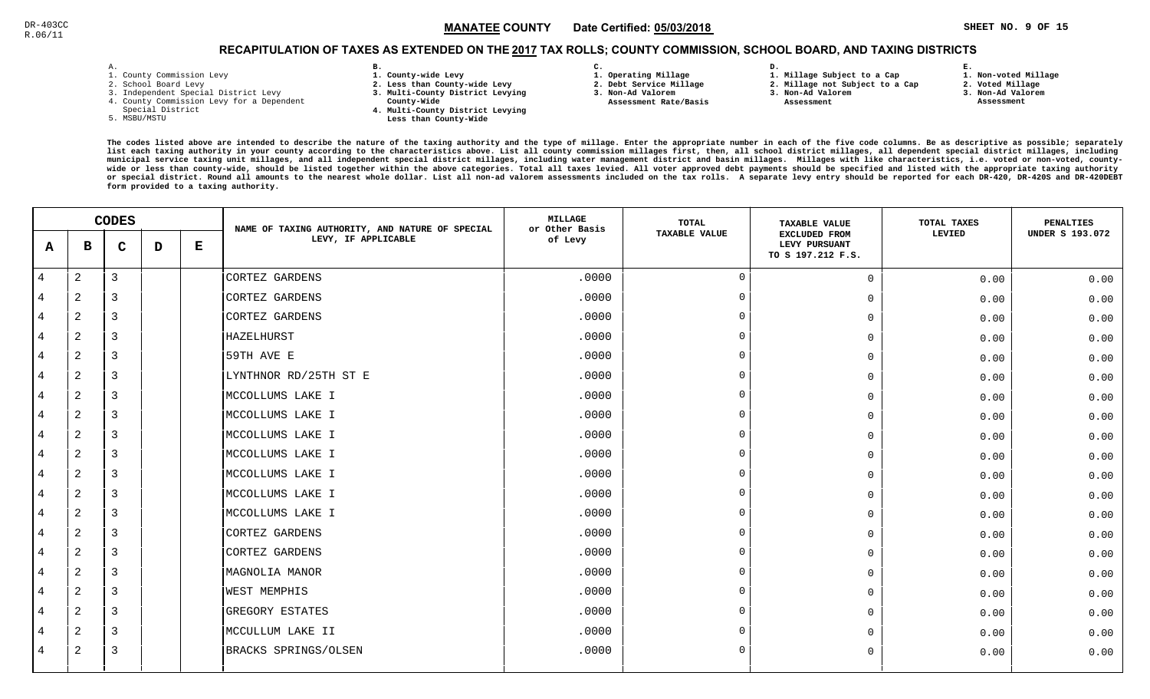# RECAPITULATION OF TAXES AS EXTENDED ON THE <u>2017</u> TAX ROLLS; COUNTY COMMISSION, SCHOOL BOARD, AND TAXING DISTRICTS

| – | ٠ |  |  |
|---|---|--|--|

- 1. County Commission Levy
- 2. School Board Levy
- 3. Independent Special District Levy
- 4. County Commission Levy for a Dependent
- Special District
- 5. MSBU/MSTU
- **B. 1. County-wide Levy**
- **2. Less than County-wide Levy**
- **3. Multi-County District Levying**
- **County-Wide** 
	- **4. Multi-County District Levying Less than County-Wide**
- **C.**
- **1. Operating Millage**
- **2. Debt Service Millage 3. Non-Ad Valorem**
- **Assessment Rate/Basis**
- **2. Millage not Subject to a Cap**

**D.** 

**3. Non-Ad Valorem Assessment** 

**1. Millage Subject to a Cap**

- 
- **2. Voted Millage3. Non-Ad Valorem**

**E.**

 **Assessment**

**1. Non-voted Millage**

|                | <b>CODES</b>   |                |   | NAME OF TAXING AUTHORITY, AND NATURE OF SPECIAL | <b>MILLAGE</b><br>or Other Basis | TOTAL   | <b>TAXABLE VALUE</b> | TOTAL TAXES                                                | PENALTIES |                        |
|----------------|----------------|----------------|---|-------------------------------------------------|----------------------------------|---------|----------------------|------------------------------------------------------------|-----------|------------------------|
| A              | в              | $\mathbf C$    | D | Е                                               | LEVY, IF APPLICABLE              | of Levy | <b>TAXABLE VALUE</b> | <b>EXCLUDED FROM</b><br>LEVY PURSUANT<br>TO S 197.212 F.S. | LEVIED    | <b>UNDER S 193.072</b> |
| $\overline{4}$ | 2              | $\overline{3}$ |   |                                                 | CORTEZ GARDENS                   | .0000   | $\overline{0}$       | $\overline{0}$                                             | 0.00      | 0.00                   |
| 4              | $\overline{a}$ | 3              |   |                                                 | CORTEZ GARDENS                   | .0000   | $\Omega$             | $\mathbf 0$                                                | 0.00      | 0.00                   |
| 4              | 2              | 3              |   |                                                 | CORTEZ GARDENS                   | .0000   | - റ                  | 0                                                          | 0.00      | 0.00                   |
| 4              | 2              | 3              |   |                                                 | HAZELHURST                       | .0000   | $\Omega$             | $\mathbf 0$                                                | 0.00      | 0.00                   |
| 4              | 2              | 3              |   |                                                 | 59TH AVE E                       | .0000   | $\Omega$             | $\mathbf 0$                                                | 0.00      | 0.00                   |
| 4              | $\overline{2}$ | $\overline{3}$ |   |                                                 | LYNTHNOR RD/25TH ST E            | .0000   | $\Omega$             | 0                                                          | 0.00      | 0.00                   |
| 4              | 2              | 3              |   |                                                 | MCCOLLUMS LAKE I                 | .0000   | $\mathbf 0$          | $\mathbf 0$                                                | 0.00      | 0.00                   |
| 4              | $\overline{2}$ | 3              |   |                                                 | MCCOLLUMS LAKE I                 | .0000   | $\Omega$             | 0                                                          | 0.00      | 0.00                   |
| 4              | $\overline{a}$ | 3              |   |                                                 | MCCOLLUMS LAKE I                 | .0000   | $\Omega$             | 0                                                          | 0.00      | 0.00                   |
| 4              | $\overline{2}$ | 3              |   |                                                 | MCCOLLUMS LAKE I                 | .0000   | $\Omega$             | $\mathsf{O}$                                               | 0.00      | 0.00                   |
| 4              | $\overline{a}$ | 3              |   |                                                 | MCCOLLUMS LAKE I                 | .0000   | $\Omega$             | $\mathbf 0$                                                | 0.00      | 0.00                   |
| 4              | 2              | 3              |   |                                                 | MCCOLLUMS LAKE I                 | .0000   | $\Omega$             | $\mathbf 0$                                                | 0.00      | 0.00                   |
| 4              | $\overline{a}$ | $\overline{3}$ |   |                                                 | MCCOLLUMS LAKE I                 | .0000   | $\Omega$             | 0                                                          | 0.00      | 0.00                   |
| 4              | $\overline{a}$ | $\overline{3}$ |   |                                                 | CORTEZ GARDENS                   | .0000   | $\Omega$             | $\mathbf 0$                                                | 0.00      | 0.00                   |
| 4              | 2              | 3              |   |                                                 | CORTEZ GARDENS                   | .0000   | $\cap$               | $\mathbf 0$                                                | 0.00      | 0.00                   |
| 4              | $\overline{a}$ | 3              |   |                                                 | MAGNOLIA MANOR                   | .0000   | $\Omega$             | $\mathsf{O}$                                               | 0.00      | 0.00                   |
| 4              | 2              | 3              |   |                                                 | <b>WEST MEMPHIS</b>              | .0000   | $\Omega$             | $\mathsf{O}$                                               | 0.00      | 0.00                   |
| 4              | $\overline{a}$ | 3              |   |                                                 | GREGORY ESTATES                  | .0000   | $\Omega$             | $\mathbf 0$                                                | 0.00      | 0.00                   |
| 4              | $\overline{2}$ | 3              |   |                                                 | MCCULLUM LAKE II                 | .0000   | $\Omega$             | $\mathbf 0$                                                | 0.00      | 0.00                   |
| 4              | $\overline{a}$ | $\overline{3}$ |   |                                                 | BRACKS SPRINGS/OLSEN             | .0000   | $\mathbf 0$          | $\mathbf 0$                                                | 0.00      | 0.00                   |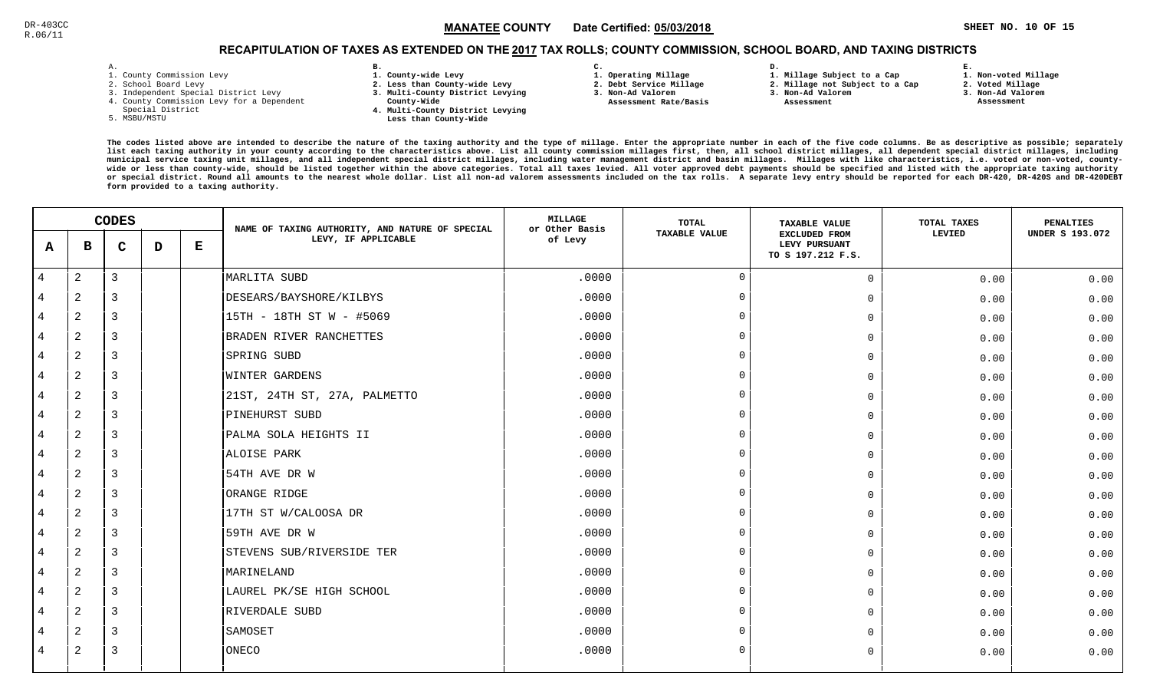## RECAPITULATION OF TAXES AS EXTENDED ON THE <u>2017</u> TAX ROLLS; COUNTY COMMISSION, SCHOOL BOARD, AND TAXING DISTRICTS

| Y.<br>- | ٠ |  |  |
|---------|---|--|--|

- 1. County Commission Levy
- 2. School Board Levy
- 3. Independent Special District Levy
- 4. County Commission Levy for a Dependent
- Special District
- 5. MSBU/MSTU
- **B. 1. County-wide Levy**
- **2. Less than County-wide Levy**
- **3. Multi-County District Levying**
- **County-Wide** 
	- **4. Multi-County District Levying Less than County-Wide**
- **C.**
- **1. Operating Millage**
- **2. Debt Service Millage**
- **3. Non-Ad Valorem Assessment Rate/Basis**
- **2. Millage not Subject to a Cap**

**D.** 

**3. Non-Ad Valorem**

**1. Millage Subject to a Cap**

 **Assessment** 

**1. Non-voted Millage**

**E.**

- **2. Voted Millage**
- **3. Non-Ad Valorem**
- **Assessment**

|                |              | <b>CODES</b> |   |   | NAME OF TAXING AUTHORITY, AND NATURE OF SPECIAL | <b>MILLAGE</b><br>or Other Basis | TOTAL                | <b>TAXABLE VALUE</b>                                       | TOTAL TAXES | <b>PENALTIES</b>       |
|----------------|--------------|--------------|---|---|-------------------------------------------------|----------------------------------|----------------------|------------------------------------------------------------|-------------|------------------------|
| A              | в            | $\mathbf C$  | D | Е | LEVY, IF APPLICABLE                             | of Levy                          | <b>TAXABLE VALUE</b> | <b>EXCLUDED FROM</b><br>LEVY PURSUANT<br>TO S 197.212 F.S. | LEVIED      | <b>UNDER S 193.072</b> |
| $\overline{4}$ | 2            | 3            |   |   | MARLITA SUBD                                    | .0000                            | $\Omega$             | $\Omega$                                                   | 0.00        | 0.00                   |
| 4              | 2            | 3            |   |   | DESEARS/BAYSHORE/KILBYS                         | .0000                            | $\Omega$             | $\Omega$                                                   | 0.00        | 0.00                   |
| 4              | 2            | 3            |   |   | 15TH - 18TH ST W - #5069                        | .0000                            | $\Omega$             | $\Omega$                                                   | 0.00        | 0.00                   |
| 4              | 2            | 3            |   |   | BRADEN RIVER RANCHETTES                         | .0000                            | $\Omega$             | 0                                                          | 0.00        | 0.00                   |
| 4              | 2            | 3            |   |   | SPRING SUBD                                     | .0000                            | $\Omega$             | $\Omega$                                                   | 0.00        | 0.00                   |
| 4              | $\mathbf{2}$ | 3            |   |   | WINTER GARDENS                                  | .0000                            | $\Omega$             | $\Omega$                                                   | 0.00        | 0.00                   |
| 4              | 2            | 3            |   |   | 21ST, 24TH ST, 27A, PALMETTO                    | .0000                            | $\cap$               | $\Omega$                                                   | 0.00        | 0.00                   |
| $\overline{4}$ | 2            | 3            |   |   | PINEHURST SUBD                                  | .0000                            | - 0                  | $\Omega$                                                   | 0.00        | 0.00                   |
| 4              | $\mathbf{2}$ | 3            |   |   | PALMA SOLA HEIGHTS II                           | .0000                            | $\Omega$             | $\Omega$                                                   | 0.00        | 0.00                   |
| 4              | 2            | 3            |   |   | ALOISE PARK                                     | .0000                            | $\Omega$             | $\Omega$                                                   | 0.00        | 0.00                   |
| 4              | 2            | 3            |   |   | 54TH AVE DR W                                   | .0000                            | $\Omega$             | 0                                                          | 0.00        | 0.00                   |
| 4              | 2            | 3            |   |   | ORANGE RIDGE                                    | .0000                            | $\Omega$             | $\Omega$                                                   | 0.00        | 0.00                   |
| 4              | 2            | 3            |   |   | 17TH ST W/CALOOSA DR                            | .0000                            | $\Omega$             | $\Omega$                                                   | 0.00        | 0.00                   |
| 4              | 2            | 3            |   |   | 59TH AVE DR W                                   | .0000                            | $\cap$               | $\Omega$                                                   | 0.00        | 0.00                   |
| $\overline{4}$ | 2            | 3            |   |   | STEVENS SUB/RIVERSIDE TER                       | .0000                            | - 0                  | $\Omega$                                                   | 0.00        | 0.00                   |
| 4              | 2            | 3            |   |   | MARINELAND                                      | .0000                            | $\Omega$             | $\Omega$                                                   | 0.00        | 0.00                   |
| 4              | 2            | 3            |   |   | LAUREL PK/SE HIGH SCHOOL                        | .0000                            | $\Omega$             | 0                                                          | 0.00        | 0.00                   |
| 4              | 2            | 3            |   |   | RIVERDALE SUBD                                  | .0000                            | $\Omega$             | 0                                                          | 0.00        | 0.00                   |
|                | 2            | 3            |   |   | SAMOSET                                         | .0000                            | $\Omega$             | U                                                          | 0.00        | 0.00                   |
| 4              | 2            | 3            |   |   | ONECO                                           | .0000                            | $\Omega$             | $\Omega$                                                   | 0.00        | 0.00                   |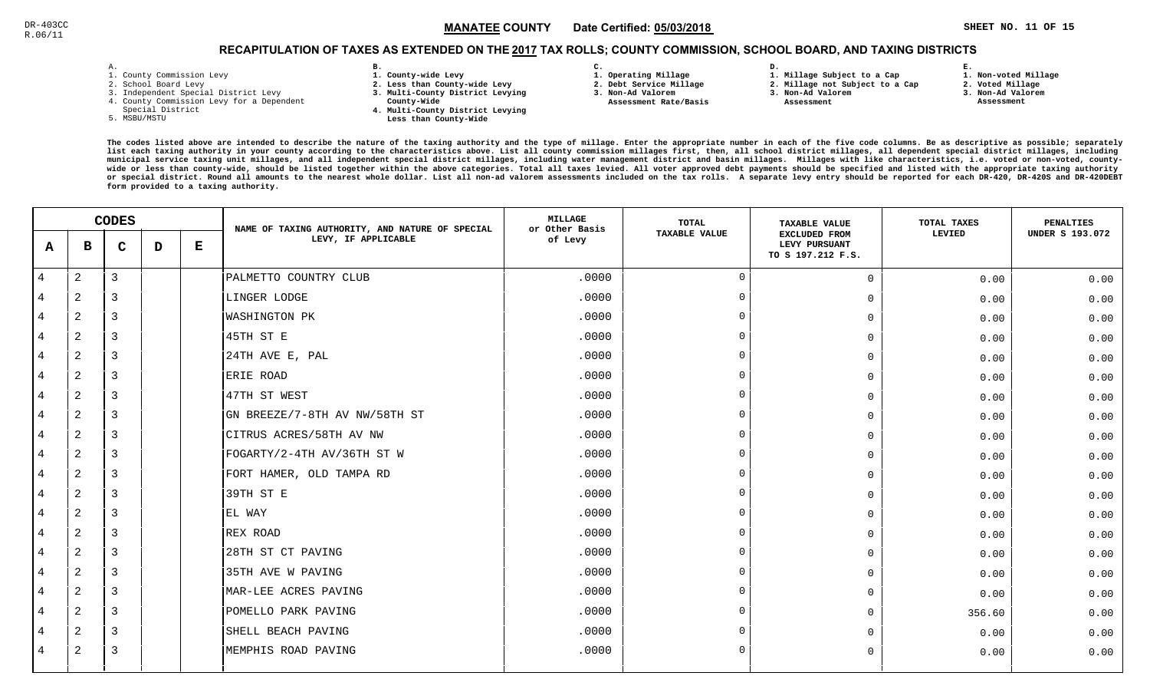## RECAPITULATION OF TAXES AS EXTENDED ON THE <u>2017</u> TAX ROLLS; COUNTY COMMISSION, SCHOOL BOARD, AND TAXING DISTRICTS

| - | ٠ |  |  |
|---|---|--|--|

- 1. County Commission Levy
- 2. School Board Levy
- 3. Independent Special District Levy
- 4. County Commission Levy for a Dependent
- Special District
- 5. MSBU/MSTU
- **B. 1. County-wide Levy**
- **2. Less than County-wide Levy**
- **3. Multi-County District Levying**
- **County-Wide** 
	- **4. Multi-County District Levying Less than County-Wide**

**C.** 

**3. Non-Ad Valorem Assessment Rate/Basis**

- **1. Operating Millage 2. Debt Service Millage**
- **D. 1. Millage Subject to a Cap**
	- **2. Millage not Subject to a Cap3. Non-Ad Valorem**
	- **Assessment**
- 
- **2. Voted Millage3. Non-Ad Valorem**

**E.**

 **Assessment**

**1. Non-voted Millage**

|                | <b>CODES</b>   |                |   | NAME OF TAXING AUTHORITY, AND NATURE OF SPECIAL | <b>MILLAGE</b><br>or Other Basis | <b>TOTAL</b> | <b>TAXABLE VALUE</b> | TOTAL TAXES                                                | <b>PENALTIES</b> |                        |
|----------------|----------------|----------------|---|-------------------------------------------------|----------------------------------|--------------|----------------------|------------------------------------------------------------|------------------|------------------------|
| A              | в              | $\mathbf C$    | D | $\bf E$                                         | LEVY, IF APPLICABLE              | of Levy      | <b>TAXABLE VALUE</b> | <b>EXCLUDED FROM</b><br>LEVY PURSUANT<br>TO S 197.212 F.S. | LEVIED           | <b>UNDER S 193.072</b> |
| $\overline{4}$ | 2              | $\mathbf{3}$   |   |                                                 | PALMETTO COUNTRY CLUB            | .0000        | $\Omega$             | $\mathsf{O}$                                               | 0.00             | 0.00                   |
| 4              | $\overline{c}$ | 3              |   |                                                 | LINGER LODGE                     | .0000        | $\overline{0}$       | $\mathbf 0$                                                | 0.00             | 0.00                   |
| 4              | 2              | 3              |   |                                                 | WASHINGTON PK                    | .0000        | $\Omega$             | $\mathbf 0$                                                | 0.00             | 0.00                   |
| 4              | 2              | $\overline{3}$ |   |                                                 | 45TH ST E                        | .0000        | $\overline{0}$       | $\mathbf 0$                                                | 0.00             | 0.00                   |
| 4              | 2              | 3              |   |                                                 | 24TH AVE E, PAL                  | .0000        | $\Omega$             | $\mathbf 0$                                                | 0.00             | 0.00                   |
| 4              | 2              | $\overline{3}$ |   |                                                 | ERIE ROAD                        | .0000        | $\overline{0}$       | $\mathbf 0$                                                | 0.00             | 0.00                   |
| 4              | $\overline{2}$ | 3              |   |                                                 | 47TH ST WEST                     | .0000        | $\Omega$             | 0                                                          | 0.00             | 0.00                   |
| 4              | 2              | 3              |   |                                                 | GN BREEZE/7-8TH AV NW/58TH ST    | .0000        | $\Omega$             | $\mathbf 0$                                                | 0.00             | 0.00                   |
| 4              | $\overline{c}$ | 3              |   |                                                 | CITRUS ACRES/58TH AV NW          | .0000        | $\overline{0}$       | $\mathbf 0$                                                | 0.00             | 0.00                   |
| 4              | 2              | 3              |   |                                                 | FOGARTY/2-4TH AV/36TH ST W       | .0000        | $\Omega$             | $\mathbf 0$                                                | 0.00             | 0.00                   |
| 4              | 2              | $\overline{3}$ |   |                                                 | FORT HAMER, OLD TAMPA RD         | .0000        | $\overline{0}$       | $\mathbf 0$                                                | 0.00             | 0.00                   |
| 4              | 2              | 3              |   |                                                 | 39TH ST E                        | .0000        | $\Omega$             | 0                                                          | 0.00             | 0.00                   |
| 4              | 2              | $\overline{3}$ |   |                                                 | EL WAY                           | .0000        | $\overline{0}$       | $\mathbf 0$                                                | 0.00             | 0.00                   |
| 4              | $\overline{2}$ | $\overline{3}$ |   |                                                 | REX ROAD                         | .0000        | $\Omega$             | 0                                                          | 0.00             | 0.00                   |
| 4              | 2              | 3              |   |                                                 | 28TH ST CT PAVING                | .0000        | $\Omega$             | $\mathbf 0$                                                | 0.00             | 0.00                   |
| 4              | $\overline{a}$ | $\overline{3}$ |   |                                                 | 35TH AVE W PAVING                | .0000        | $\overline{0}$       | $\mathbf 0$                                                | 0.00             | 0.00                   |
| 4              | 2              | 3              |   |                                                 | MAR-LEE ACRES PAVING             | .0000        | $\overline{0}$       | $\mathbf 0$                                                | 0.00             | 0.00                   |
| 4              | $\mathbf{2}$   | $\overline{3}$ |   |                                                 | POMELLO PARK PAVING              | .0000        | $\Omega$             | $\mathbf 0$                                                | 356.60           | 0.00                   |
| 4              | 2              | 3              |   |                                                 | SHELL BEACH PAVING               | .0000        | $\Omega$             | $\Omega$                                                   | 0.00             | 0.00                   |
| 4              | $\overline{c}$ | $\overline{3}$ |   |                                                 | MEMPHIS ROAD PAVING              | .0000        | $\mathbf 0$          | $\mathbf 0$                                                | 0.00             | 0.00                   |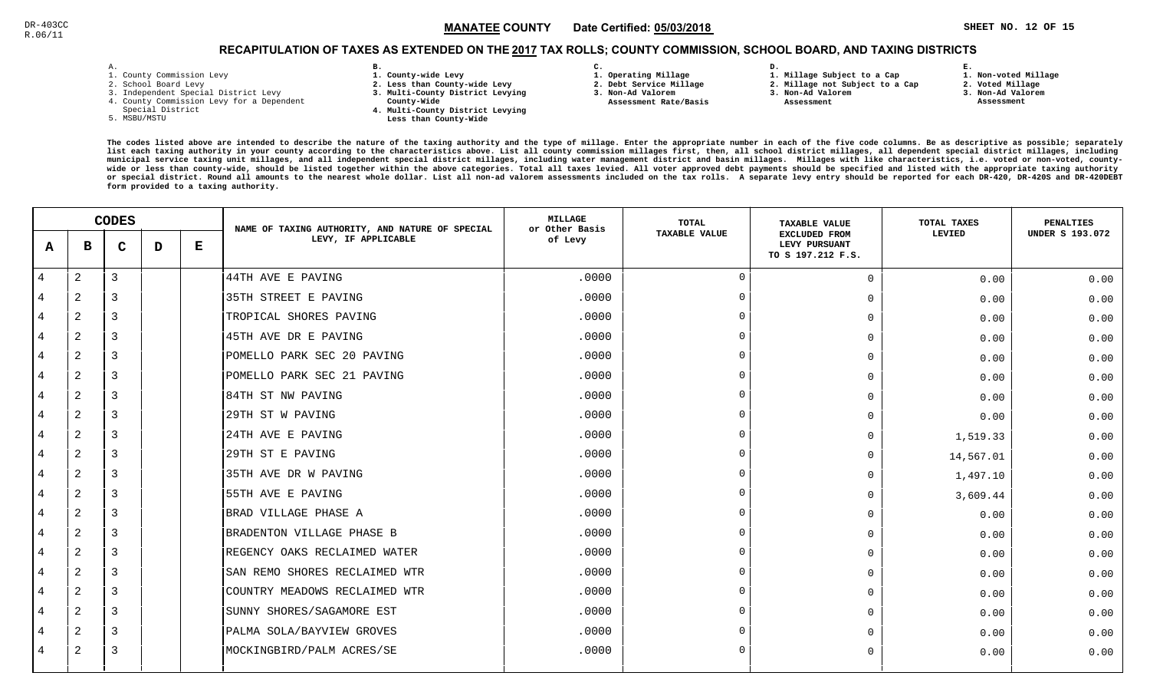## RECAPITULATION OF TAXES AS EXTENDED ON THE <u>2017</u> TAX ROLLS; COUNTY COMMISSION, SCHOOL BOARD, AND TAXING DISTRICTS

| ۰ |  |  |
|---|--|--|

- 1. County Commission Levy
- 2. School Board Levy
- 3. Independent Special District Levy
- 4. County Commission Levy for a Dependent
- Special District
- 5. MSBU/MSTU
- **B. 1. County-wide Levy**
- **2. Less than County-wide Levy**
- **3. Multi-County District Levying**
- **County-Wide** 
	- **4. Multi-County District Levying Less than County-Wide**
- **C. 3. Non-Ad Valorem**

**2. Debt Service Millage** 

 **Assessment Rate/Basis**

- **1. Operating Millage**
- **1. Millage Subject to a Cap**

**D.** 

- **2. Millage not Subject to a Cap3. Non-Ad Valorem**
- **Assessment**
- 
- **2. Voted Millage3. Non-Ad Valorem**

**E.**

 **Assessment**

**1. Non-voted Millage**

|                | <b>CODES</b>   |                |   | NAME OF TAXING AUTHORITY, AND NATURE OF SPECIAL | <b>MILLAGE</b><br>or Other Basis | TOTAL   | <b>TAXABLE VALUE</b> | TOTAL TAXES                                                | PENALTIES |                        |
|----------------|----------------|----------------|---|-------------------------------------------------|----------------------------------|---------|----------------------|------------------------------------------------------------|-----------|------------------------|
| A              | в              | $\mathbf C$    | D | Е                                               | LEVY, IF APPLICABLE              | of Levy | <b>TAXABLE VALUE</b> | <b>EXCLUDED FROM</b><br>LEVY PURSUANT<br>TO S 197.212 F.S. | LEVIED    | <b>UNDER S 193.072</b> |
| $\overline{4}$ | 2              | $\overline{3}$ |   |                                                 | 44TH AVE E PAVING                | .0000   | $\Omega$             | $\mathbf 0$                                                | 0.00      | 0.00                   |
| 4              | 2              | 3              |   |                                                 | 35TH STREET E PAVING             | .0000   | $\Omega$             | $\mathbf 0$                                                | 0.00      | 0.00                   |
| 4              | 2              | 3              |   |                                                 | TROPICAL SHORES PAVING           | .0000   | $\Omega$             | $\mathbf 0$                                                | 0.00      | 0.00                   |
| 4              | $\overline{2}$ | 3              |   |                                                 | 45TH AVE DR E PAVING             | .0000   | $\Omega$             | $\mathbf 0$                                                | 0.00      | 0.00                   |
| 4              | 2              | $\overline{3}$ |   |                                                 | POMELLO PARK SEC 20 PAVING       | .0000   | $\Omega$             | $\Omega$                                                   | 0.00      | 0.00                   |
| 4              | $\overline{2}$ | $\overline{3}$ |   |                                                 | POMELLO PARK SEC 21 PAVING       | .0000   | $\Omega$             | $\mathbf 0$                                                | 0.00      | 0.00                   |
| 4              | $\overline{a}$ | 3              |   |                                                 | 84TH ST NW PAVING                | .0000   | $\Omega$             | $\mathbf 0$                                                | 0.00      | 0.00                   |
| 4              | 2              | 3              |   |                                                 | 29TH ST W PAVING                 | .0000   |                      | $\mathbf 0$                                                | 0.00      | 0.00                   |
| 4              | $\overline{a}$ | 3              |   |                                                 | 24TH AVE E PAVING                | .0000   | $\Omega$             | $\mathbf 0$                                                | 1,519.33  | 0.00                   |
| 4              | 2              | 3              |   |                                                 | 29TH ST E PAVING                 | .0000   | $\cap$               | $\mathbf 0$                                                | 14,567.01 | 0.00                   |
| 4              | 2              | 3              |   |                                                 | 35TH AVE DR W PAVING             | .0000   | $\Omega$             | $\Omega$                                                   | 1,497.10  | 0.00                   |
| 4              | $\overline{2}$ | $\overline{3}$ |   |                                                 | 55TH AVE E PAVING                | .0000   | $\Omega$             | $\mathbf 0$                                                | 3,609.44  | 0.00                   |
| 4              | $\overline{a}$ | $\overline{3}$ |   |                                                 | BRAD VILLAGE PHASE A             | .0000   | $\Omega$             | $\mathbf 0$                                                | 0.00      | 0.00                   |
| 4              | $\overline{2}$ | 3              |   |                                                 | BRADENTON VILLAGE PHASE B        | .0000   | $\cap$               | $\mathbf 0$                                                | 0.00      | 0.00                   |
| 4              | $\overline{a}$ | 3              |   |                                                 | REGENCY OAKS RECLAIMED WATER     | .0000   | $\Omega$             | $\mathbf 0$                                                | 0.00      | 0.00                   |
| 4              | $\overline{2}$ | 3              |   |                                                 | SAN REMO SHORES RECLAIMED WTR    | .0000   | $\cap$               | $\mathbf 0$                                                | 0.00      | 0.00                   |
| $\overline{4}$ | $\overline{a}$ | 3              |   |                                                 | COUNTRY MEADOWS RECLAIMED WTR    | .0000   | $\Omega$             | $\overline{0}$                                             | 0.00      | 0.00                   |
| 4              | $\overline{a}$ | 3              |   |                                                 | SUNNY SHORES/SAGAMORE EST        | .0000   | $\cap$               | $\mathbf 0$                                                | 0.00      | 0.00                   |
| 4              | $\overline{2}$ | $\overline{3}$ |   |                                                 | PALMA SOLA/BAYVIEW GROVES        | .0000   | $\Omega$             | $\Omega$                                                   | 0.00      | 0.00                   |
| 4              | $\overline{a}$ | $\overline{3}$ |   |                                                 | MOCKINGBIRD/PALM ACRES/SE        | .0000   | $\Omega$             | $\mathbf 0$                                                | 0.00      | 0.00                   |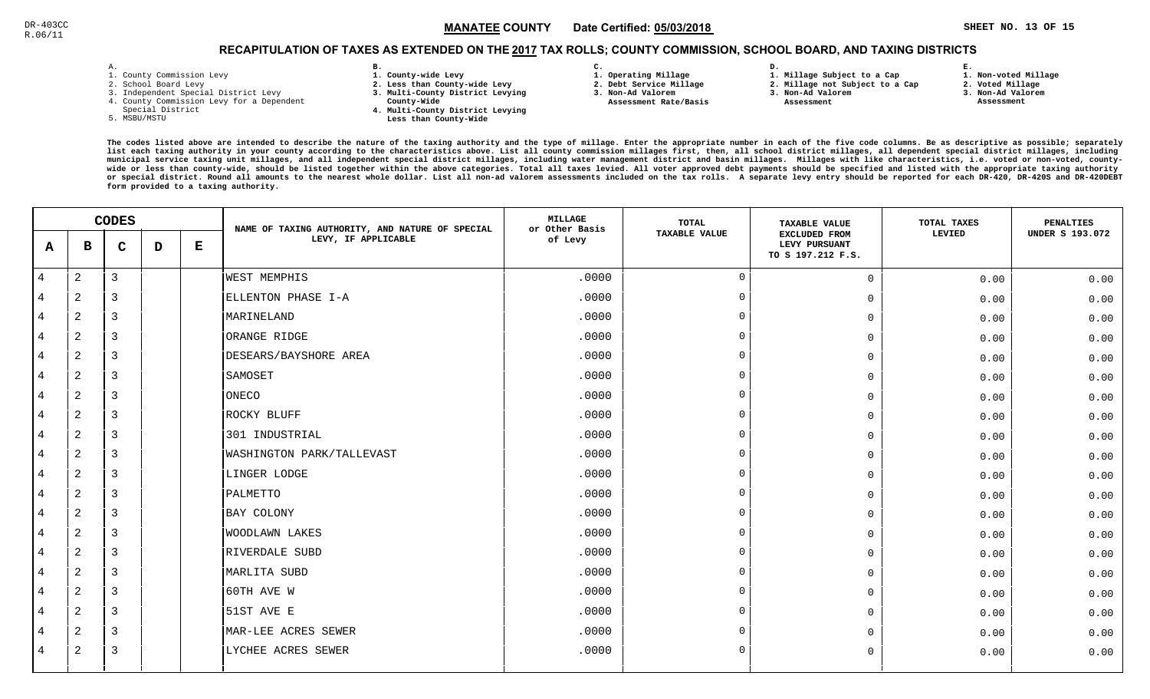## RECAPITULATION OF TAXES AS EXTENDED ON THE <u>2017</u> TAX ROLLS; COUNTY COMMISSION, SCHOOL BOARD, AND TAXING DISTRICTS

| - | ٠ |  |  |
|---|---|--|--|

- 1. County Commission Levy
- 2. School Board Levy
- 3. Independent Special District Levy
- 4. County Commission Levy for a Dependent
- Special District
- 5. MSBU/MSTU
- **B. 1. County-wide Levy**
- **2. Less than County-wide Levy**
- **3. Multi-County District Levying**
- **County-Wide** 
	- **4. Multi-County District Levying Less than County-Wide**
- **C.**
- **1. Operating Millage**
- **2. Debt Service Millage**
- **3. Non-Ad Valorem Assessment Rate/Basis**
- **2. Millage not Subject to a Cap**

**D.** 

- **3. Non-Ad Valorem**
	- **Assessment**

**1. Millage Subject to a Cap**

 **1. Non-voted Millage2. Voted Millage**

**E.**

- **3. Non-Ad Valorem**
- **Assessment**

|                | <b>CODES</b>   |                |   | NAME OF TAXING AUTHORITY, AND NATURE OF SPECIAL | <b>MILLAGE</b><br>or Other Basis | <b>TOTAL</b> | <b>TAXABLE VALUE</b> | TOTAL TAXES                                                | <b>PENALTIES</b> |                        |
|----------------|----------------|----------------|---|-------------------------------------------------|----------------------------------|--------------|----------------------|------------------------------------------------------------|------------------|------------------------|
| A              | в              | $\mathbf C$    | D | $\bf E$                                         | LEVY, IF APPLICABLE              | of Levy      | <b>TAXABLE VALUE</b> | <b>EXCLUDED FROM</b><br>LEVY PURSUANT<br>TO S 197.212 F.S. | LEVIED           | <b>UNDER S 193.072</b> |
| $\sqrt{4}$     | $\overline{a}$ | $\mathbf{3}$   |   |                                                 | WEST MEMPHIS                     | .0000        | $\Omega$             | $\mathsf{O}$                                               | 0.00             | 0.00                   |
| 4              | $\overline{a}$ | 3              |   |                                                 | ELLENTON PHASE I-A               | .0000        | $\overline{0}$       | $\mathbf 0$                                                | 0.00             | 0.00                   |
| 4              | 2              | 3              |   |                                                 | MARINELAND                       | .0000        | $\overline{0}$       | $\mathbf 0$                                                | 0.00             | 0.00                   |
| 4              | 2              | $\overline{3}$ |   |                                                 | ORANGE RIDGE                     | .0000        | $\overline{0}$       | $\mathbf 0$                                                | 0.00             | 0.00                   |
| 4              | 2              | $\overline{3}$ |   |                                                 | DESEARS/BAYSHORE AREA            | .0000        | $\overline{0}$       | $\mathbf 0$                                                | 0.00             | 0.00                   |
| 4              | $\mathbf{2}$   | 3              |   |                                                 | SAMOSET                          | .0000        | $\overline{0}$       | $\mathbf 0$                                                | 0.00             | 0.00                   |
| 4              | $\mathbf{2}$   | 3              |   |                                                 | ONECO                            | .0000        | $\Omega$             | $\mathbf 0$                                                | 0.00             | 0.00                   |
| 4              | 2              | 3              |   |                                                 | ROCKY BLUFF                      | .0000        | $\overline{0}$       | $\mathbf 0$                                                | 0.00             | 0.00                   |
| 4              | $\mathbf{2}$   | 3              |   |                                                 | 301 INDUSTRIAL                   | .0000        | $\Omega$             | $\mathbf 0$                                                | 0.00             | 0.00                   |
| $\overline{4}$ | 2              | 3              |   |                                                 | WASHINGTON PARK/TALLEVAST        | .0000        | $\overline{0}$       | $\mathbf 0$                                                | 0.00             | 0.00                   |
| $\overline{4}$ | 2              | $\overline{3}$ |   |                                                 | LINGER LODGE                     | .0000        | $\mathbf 0$          | $\mathbf 0$                                                | 0.00             | 0.00                   |
| 4              | $\overline{a}$ | $\overline{3}$ |   |                                                 | PALMETTO                         | .0000        | $\overline{0}$       | $\mathbf 0$                                                | 0.00             | 0.00                   |
| 4              | $\overline{c}$ | $\overline{3}$ |   |                                                 | BAY COLONY                       | .0000        | $\Omega$             | $\mathbf 0$                                                | 0.00             | 0.00                   |
| 4              | $\overline{c}$ | 3              |   |                                                 | <b>WOODLAWN LAKES</b>            | .0000        | $\Omega$             | $\mathbf 0$                                                | 0.00             | 0.00                   |
| 4              | 2              | $\overline{3}$ |   |                                                 | RIVERDALE SUBD                   | .0000        | $\mathbf 0$          | $\mathbf 0$                                                | 0.00             | 0.00                   |
| 4              | $\overline{c}$ | 3              |   |                                                 | MARLITA SUBD                     | .0000        | $\Omega$             | $\mathbf 0$                                                | 0.00             | 0.00                   |
| $\overline{4}$ | 2              | $\overline{3}$ |   |                                                 | 60TH AVE W                       | .0000        | $\overline{0}$       | $\mathbf 0$                                                | 0.00             | 0.00                   |
| 4              | 2              | 3              |   |                                                 | 51ST AVE E                       | .0000        | $\Omega$             | $\mathbf 0$                                                | 0.00             | 0.00                   |
| 4              | 2              | $\overline{3}$ |   |                                                 | MAR-LEE ACRES SEWER              | .0000        | $\mathbf 0$          | $\mathbf 0$                                                | 0.00             | 0.00                   |
| 4              | $\overline{2}$ | 3              |   |                                                 | LYCHEE ACRES SEWER               | .0000        | $\overline{0}$       | $\mathbf 0$                                                | 0.00             | 0.00                   |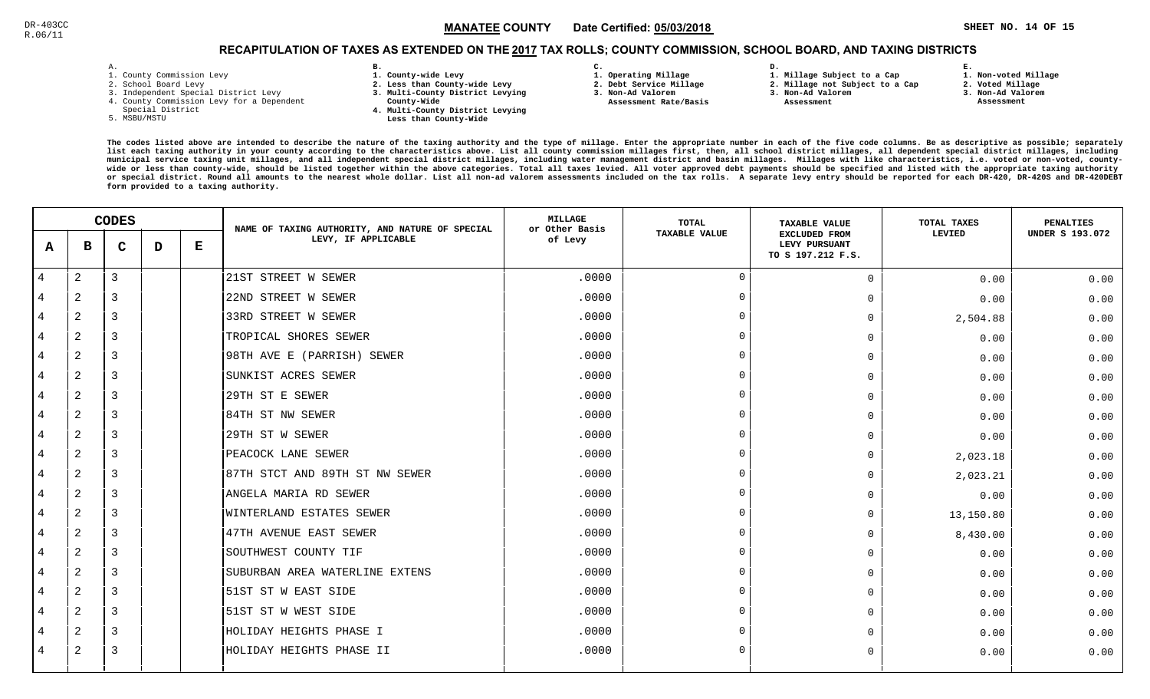**1. Non-voted Millage**

## RECAPITULATION OF TAXES AS EXTENDED ON THE <u>2017</u> TAX ROLLS; COUNTY COMMISSION, SCHOOL BOARD, AND TAXING DISTRICTS

| – | ٠ |  |  |
|---|---|--|--|

- 1. County Commission Levy
- 2. School Board Levy
- 3. Independent Special District Levy
- 4. County Commission Levy for a Dependent
- Special District
- 5. MSBU/MSTU
- **B. 1. County-wide Levy**
- **2. Less than County-wide Levy**
- **3. Multi-County District Levying**
- **County-Wide** 
	- **4. Multi-County District Levying Less than County-Wide**

**C.** 

**3. Non-Ad Valorem Assessment Rate/Basis**

- **1. Operating Millage**
- **2. Debt Service Millage 1. Millage Subject to a Cap**

**D.** 

- **2. Millage not Subject to a Cap3. Non-Ad Valorem**
	- **Assessment**
- 
- **2. Voted Millage3. Non-Ad Valorem**

**E.**

 **Assessment**

| <b>CODES</b>   |                |                | NAME OF TAXING AUTHORITY, AND NATURE OF SPECIAL | <b>MILLAGE</b><br>or Other Basis | <b>TOTAL</b>                   | <b>TAXABLE VALUE</b> | TOTAL TAXES          | <b>PENALTIES</b>                                           |           |                        |
|----------------|----------------|----------------|-------------------------------------------------|----------------------------------|--------------------------------|----------------------|----------------------|------------------------------------------------------------|-----------|------------------------|
| A              | в              | $\mathbf C$    | D                                               | Е                                | LEVY, IF APPLICABLE            | of Levy              | <b>TAXABLE VALUE</b> | <b>EXCLUDED FROM</b><br>LEVY PURSUANT<br>TO S 197.212 F.S. | LEVIED    | <b>UNDER S 193.072</b> |
| $\overline{4}$ | 2              | $\overline{3}$ |                                                 |                                  | 21ST STREET W SEWER            | .0000                | $\Omega$             | $\Omega$                                                   | 0.00      | 0.00                   |
| 4              | $\overline{2}$ | 3              |                                                 |                                  | 22ND STREET W SEWER            | .0000                | $\Omega$             | $\Omega$                                                   | 0.00      | 0.00                   |
| 4              | $\overline{a}$ | 3              |                                                 |                                  | 33RD STREET W SEWER            | .0000                | $\cap$               | $\Omega$                                                   | 2,504.88  | 0.00                   |
| $\overline{4}$ | 2              | $\overline{3}$ |                                                 |                                  | TROPICAL SHORES SEWER          | .0000                | $\cap$               | $\Omega$                                                   | 0.00      | 0.00                   |
| 4              | $\overline{2}$ | 3              |                                                 |                                  | 98TH AVE E (PARRISH) SEWER     | .0000                | $\cap$               | $\Omega$                                                   | 0.00      | 0.00                   |
| 4              | $\overline{2}$ | 3              |                                                 |                                  | SUNKIST ACRES SEWER            | .0000                | $\cap$               | $\cap$                                                     | 0.00      | 0.00                   |
| 4              | $\overline{a}$ | 3              |                                                 |                                  | 29TH ST E SEWER                | .0000                |                      | $\Omega$                                                   | 0.00      | 0.00                   |
| 4              | $\overline{2}$ | 3              |                                                 |                                  | 84TH ST NW SEWER               | .0000                |                      | $\Omega$                                                   | 0.00      | 0.00                   |
| 4              | $\overline{a}$ | 3              |                                                 |                                  | 29TH ST W SEWER                | .0000                | $\Omega$             | $\Omega$                                                   | 0.00      | 0.00                   |
| 4              | 2              | 3              |                                                 |                                  | PEACOCK LANE SEWER             | .0000                | $\Omega$             | $\Omega$                                                   | 2,023.18  | 0.00                   |
| 4              | $\overline{2}$ | 3              |                                                 |                                  | 87TH STCT AND 89TH ST NW SEWER | .0000                | $\cap$               | $\Omega$                                                   | 2,023.21  | 0.00                   |
| $\overline{4}$ | $\overline{2}$ | $\overline{3}$ |                                                 |                                  | ANGELA MARIA RD SEWER          | .0000                | $\Omega$             | $\Omega$                                                   | 0.00      | 0.00                   |
| 4              | $\overline{a}$ | 3              |                                                 |                                  | WINTERLAND ESTATES SEWER       | .0000                | $\Omega$             | $\Omega$                                                   | 13,150.80 | 0.00                   |
| 4              | $\overline{a}$ | 3              |                                                 |                                  | 47TH AVENUE EAST SEWER         | .0000                | $\cap$               | $\Omega$                                                   | 8,430.00  | 0.00                   |
| 4              | 2              | 3              |                                                 |                                  | SOUTHWEST COUNTY TIF           | .0000                |                      | $\Omega$                                                   | 0.00      | 0.00                   |
| 4              | $\overline{a}$ | 3              |                                                 |                                  | SUBURBAN AREA WATERLINE EXTENS | .0000                | $\Omega$             | $\Omega$                                                   | 0.00      | 0.00                   |
| 4              | 2              | 3              |                                                 |                                  | 51ST ST W EAST SIDE            | .0000                | $\Omega$             | $\Omega$                                                   | 0.00      | 0.00                   |
| 4              | $\overline{a}$ | 3              |                                                 |                                  | 51ST ST W WEST SIDE            | .0000                | $\Omega$             | $\Omega$                                                   | 0.00      | 0.00                   |
| 4              | $\overline{2}$ | 3              |                                                 |                                  | HOLIDAY HEIGHTS PHASE I        | .0000                | $\cap$               | $\Omega$                                                   | 0.00      | 0.00                   |
| 4              | 2              | 3              |                                                 |                                  | HOLIDAY HEIGHTS PHASE II       | .0000                | $\Omega$             | $\Omega$                                                   | 0.00      | 0.00                   |